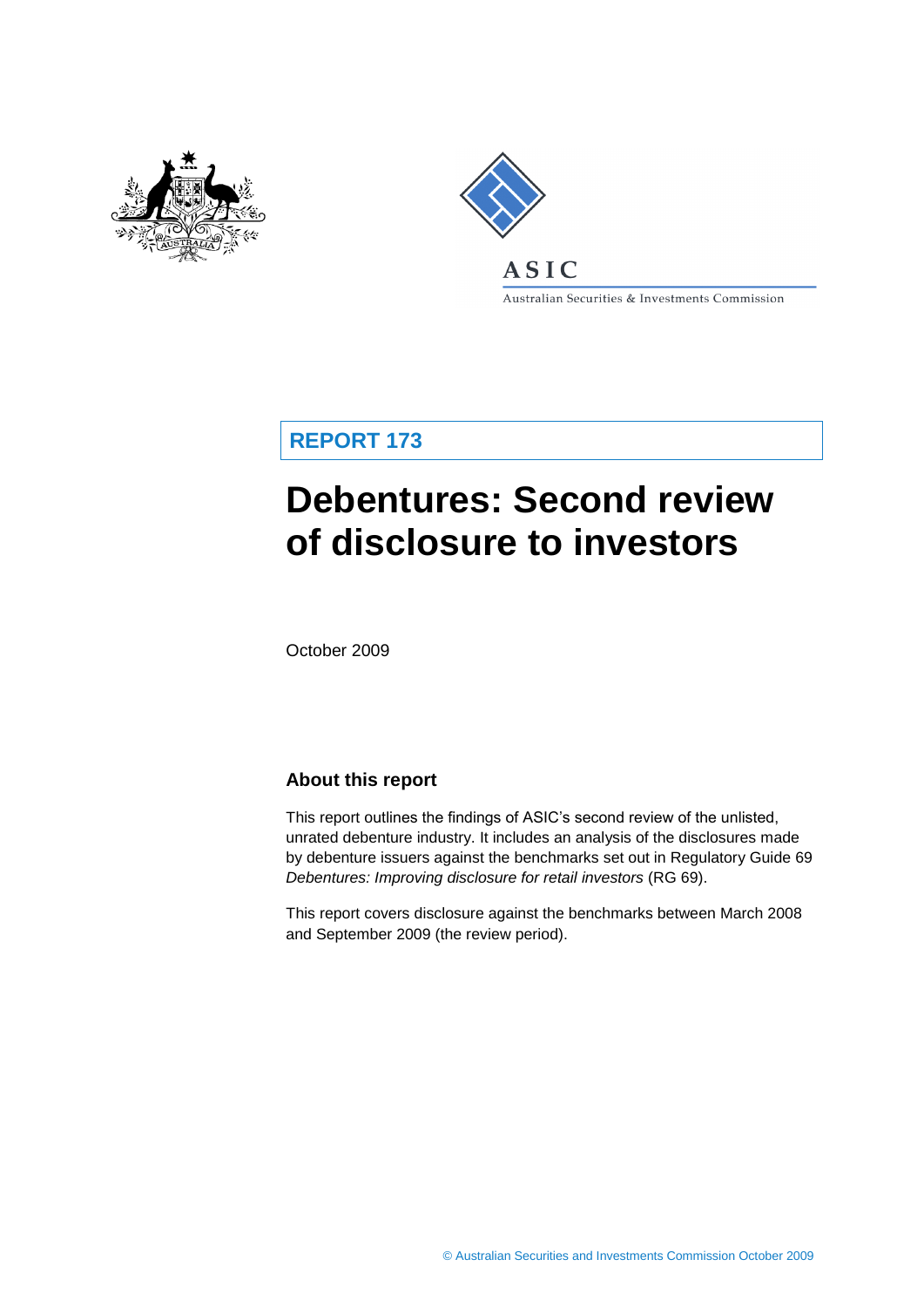



Australian Securities & Investments Commission

**REPORT 173**

# **Debentures: Second review of disclosure to investors**

October 2009

## **About this report**

This report outlines the findings of ASIC's second review of the unlisted, unrated debenture industry. It includes an analysis of the disclosures made by debenture issuers against the benchmarks set out in Regulatory Guide 69 *Debentures: Improving disclosure for retail investors* (RG 69).

This report covers disclosure against the benchmarks between March 2008 and September 2009 (the review period).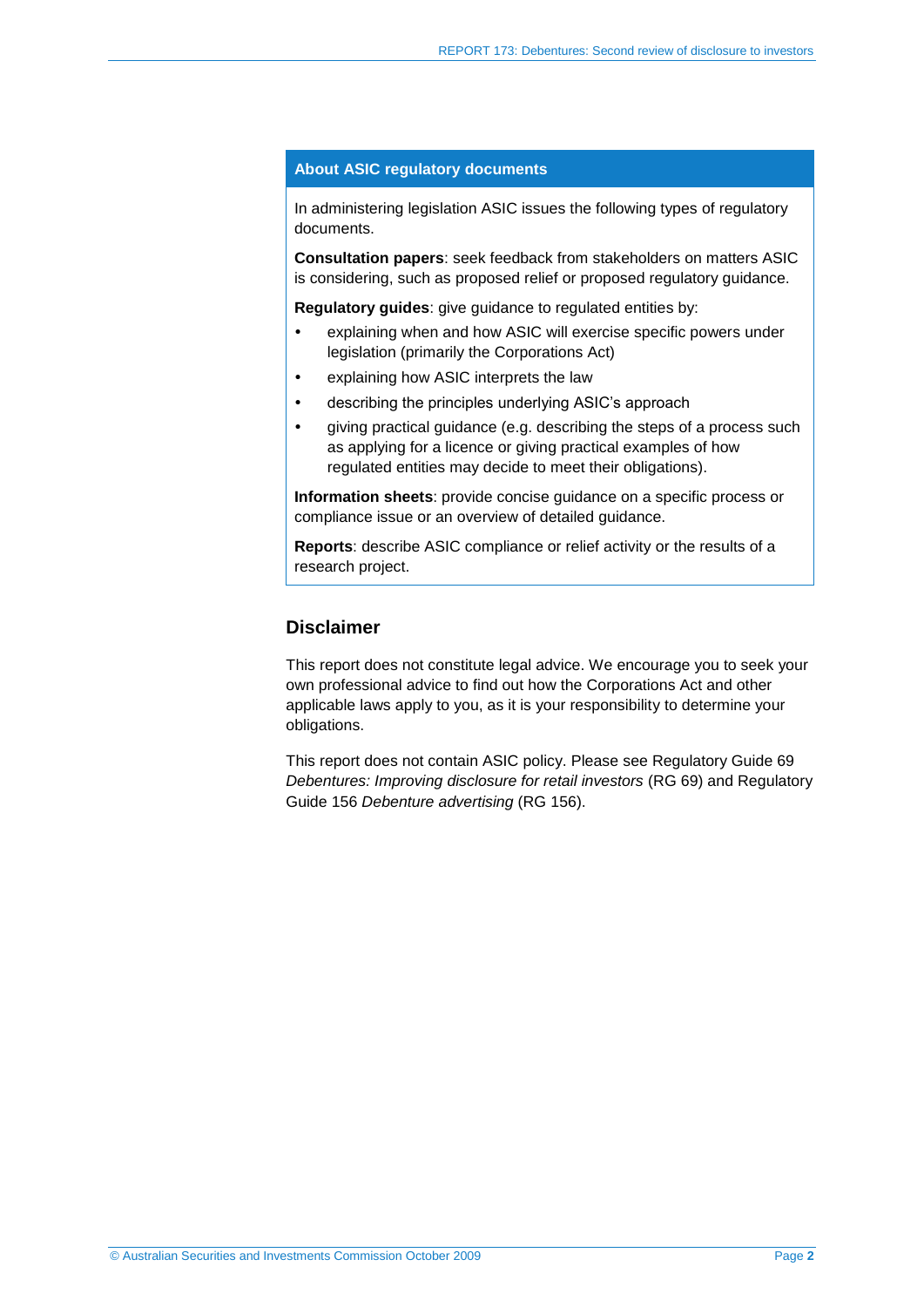#### **About ASIC regulatory documents**

In administering legislation ASIC issues the following types of regulatory documents.

**Consultation papers**: seek feedback from stakeholders on matters ASIC is considering, such as proposed relief or proposed regulatory guidance.

**Regulatory guides**: give guidance to regulated entities by:

- explaining when and how ASIC will exercise specific powers under legislation (primarily the Corporations Act)
- explaining how ASIC interprets the law
- describing the principles underlying ASIC's approach
- giving practical guidance (e.g. describing the steps of a process such as applying for a licence or giving practical examples of how regulated entities may decide to meet their obligations).

**Information sheets**: provide concise guidance on a specific process or compliance issue or an overview of detailed guidance.

**Reports**: describe ASIC compliance or relief activity or the results of a research project.

### **Disclaimer**

This report does not constitute legal advice. We encourage you to seek your own professional advice to find out how the Corporations Act and other applicable laws apply to you, as it is your responsibility to determine your obligations.

This report does not contain ASIC policy. Please see Regulatory Guide 69 *Debentures: Improving disclosure for retail investors* (RG 69) and Regulatory Guide 156 *Debenture advertising* (RG 156).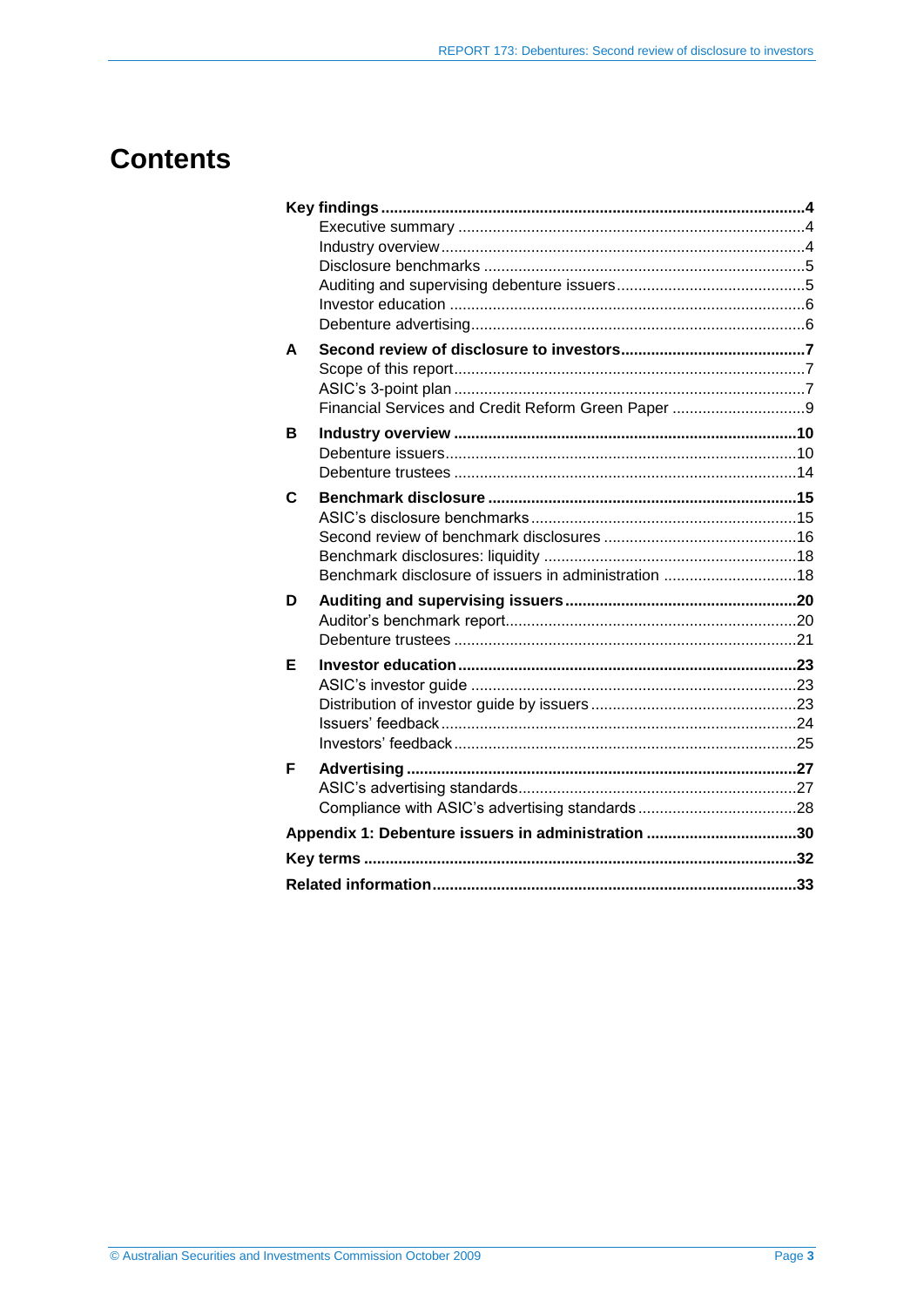# **Contents**

| A |                                                      |  |
|---|------------------------------------------------------|--|
|   |                                                      |  |
|   |                                                      |  |
|   | Financial Services and Credit Reform Green Paper 9   |  |
| в |                                                      |  |
|   |                                                      |  |
|   |                                                      |  |
| C |                                                      |  |
|   |                                                      |  |
|   |                                                      |  |
|   |                                                      |  |
|   | Benchmark disclosure of issuers in administration 18 |  |
|   |                                                      |  |
| D |                                                      |  |
|   |                                                      |  |
|   |                                                      |  |
| Е |                                                      |  |
|   |                                                      |  |
|   |                                                      |  |
|   |                                                      |  |
|   |                                                      |  |
| F |                                                      |  |
|   |                                                      |  |
|   |                                                      |  |
|   | Appendix 1: Debenture issuers in administration 30   |  |
|   |                                                      |  |
|   |                                                      |  |
|   |                                                      |  |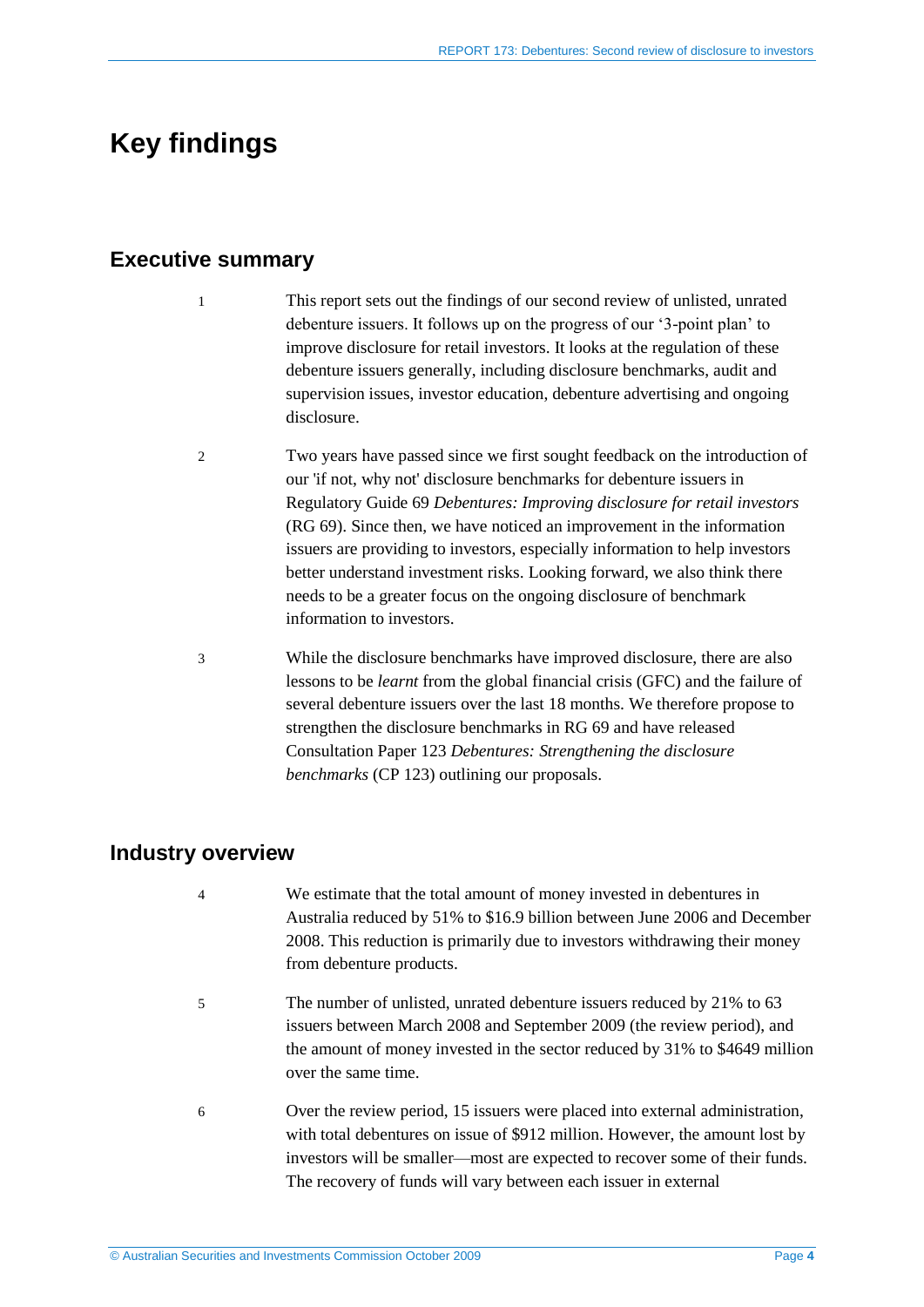# <span id="page-3-1"></span><span id="page-3-0"></span>**Key findings**

## **Executive summary**

- 1 This report sets out the findings of our second review of unlisted, unrated debenture issuers. It follows up on the progress of our '3-point plan' to improve disclosure for retail investors. It looks at the regulation of these debenture issuers generally, including disclosure benchmarks, audit and supervision issues, investor education, debenture advertising and ongoing disclosure.
- 2 Two years have passed since we first sought feedback on the introduction of our 'if not, why not' disclosure benchmarks for debenture issuers in Regulatory Guide 69 *Debentures: Improving disclosure for retail investors* (RG 69). Since then, we have noticed an improvement in the information issuers are providing to investors, especially information to help investors better understand investment risks. Looking forward, we also think there needs to be a greater focus on the ongoing disclosure of benchmark information to investors.
- 3 While the disclosure benchmarks have improved disclosure, there are also lessons to be *learnt* from the global financial crisis (GFC) and the failure of several debenture issuers over the last 18 months. We therefore propose to strengthen the disclosure benchmarks in RG 69 and have released Consultation Paper 123 *Debentures: Strengthening the disclosure benchmarks* (CP 123) outlining our proposals.

### <span id="page-3-2"></span>**Industry overview**

- 4 We estimate that the total amount of money invested in debentures in Australia reduced by 51% to \$16.9 billion between June 2006 and December 2008. This reduction is primarily due to investors withdrawing their money from debenture products.
- 5 The number of unlisted, unrated debenture issuers reduced by 21% to 63 issuers between March 2008 and September 2009 (the review period), and the amount of money invested in the sector reduced by 31% to \$4649 million over the same time.
- 6 Over the review period, 15 issuers were placed into external administration, with total debentures on issue of \$912 million. However, the amount lost by investors will be smaller—most are expected to recover some of their funds. The recovery of funds will vary between each issuer in external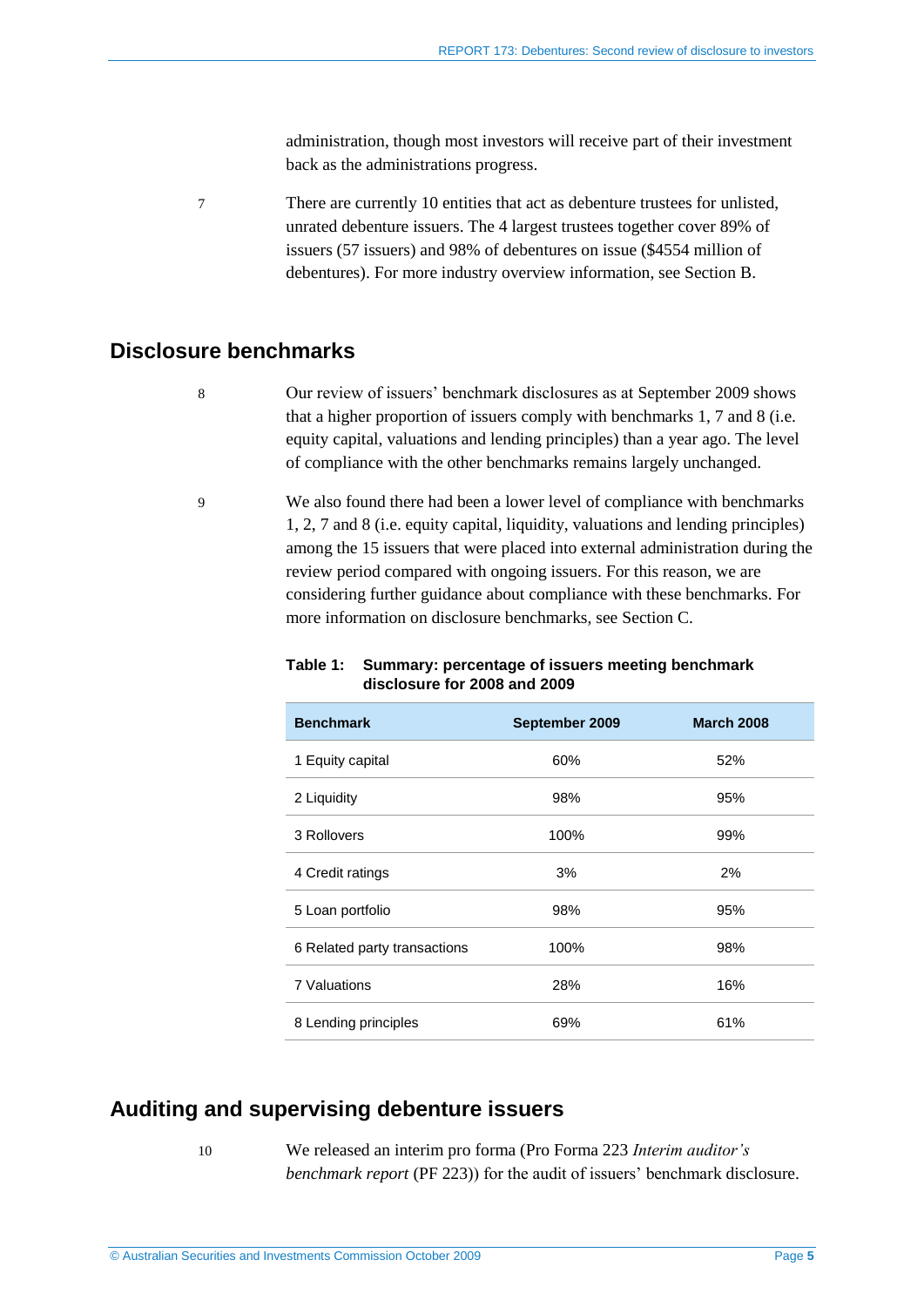administration, though most investors will receive part of their investment back as the administrations progress.

7 There are currently 10 entities that act as debenture trustees for unlisted, unrated debenture issuers. The 4 largest trustees together cover 89% of issuers (57 issuers) and 98% of debentures on issue (\$4554 million of debentures). For more industry overview information, see Section B.

# <span id="page-4-0"></span>**Disclosure benchmarks**

8 Our review of issuers' benchmark disclosures as at September 2009 shows that a higher proportion of issuers comply with benchmarks 1, 7 and 8 (i.e. equity capital, valuations and lending principles) than a year ago. The level of compliance with the other benchmarks remains largely unchanged.

9 We also found there had been a lower level of compliance with benchmarks 1, 2, 7 and 8 (i.e. equity capital, liquidity, valuations and lending principles) among the 15 issuers that were placed into external administration during the review period compared with ongoing issuers. For this reason, we are considering further guidance about compliance with these benchmarks. For more information on disclosure benchmarks, see Section C.

| <b>Benchmark</b>             | September 2009 | <b>March 2008</b> |
|------------------------------|----------------|-------------------|
| 1 Equity capital             | 60%            | 52%               |
| 2 Liquidity                  | 98%            | 95%               |
| 3 Rollovers                  | 100%           | 99%               |
| 4 Credit ratings             | 3%             | 2%                |
| 5 Loan portfolio             | 98%            | 95%               |
| 6 Related party transactions | 100%           | 98%               |
| <b>7 Valuations</b>          | 28%            | 16%               |
| 8 Lending principles         | 69%            | 61%               |

#### **Table 1: Summary: percentage of issuers meeting benchmark disclosure for 2008 and 2009**

# <span id="page-4-1"></span>**Auditing and supervising debenture issuers**

10 We released an interim pro forma (Pro Forma 223 *Interim auditor's benchmark report* (PF 223)) for the audit of issuers' benchmark disclosure.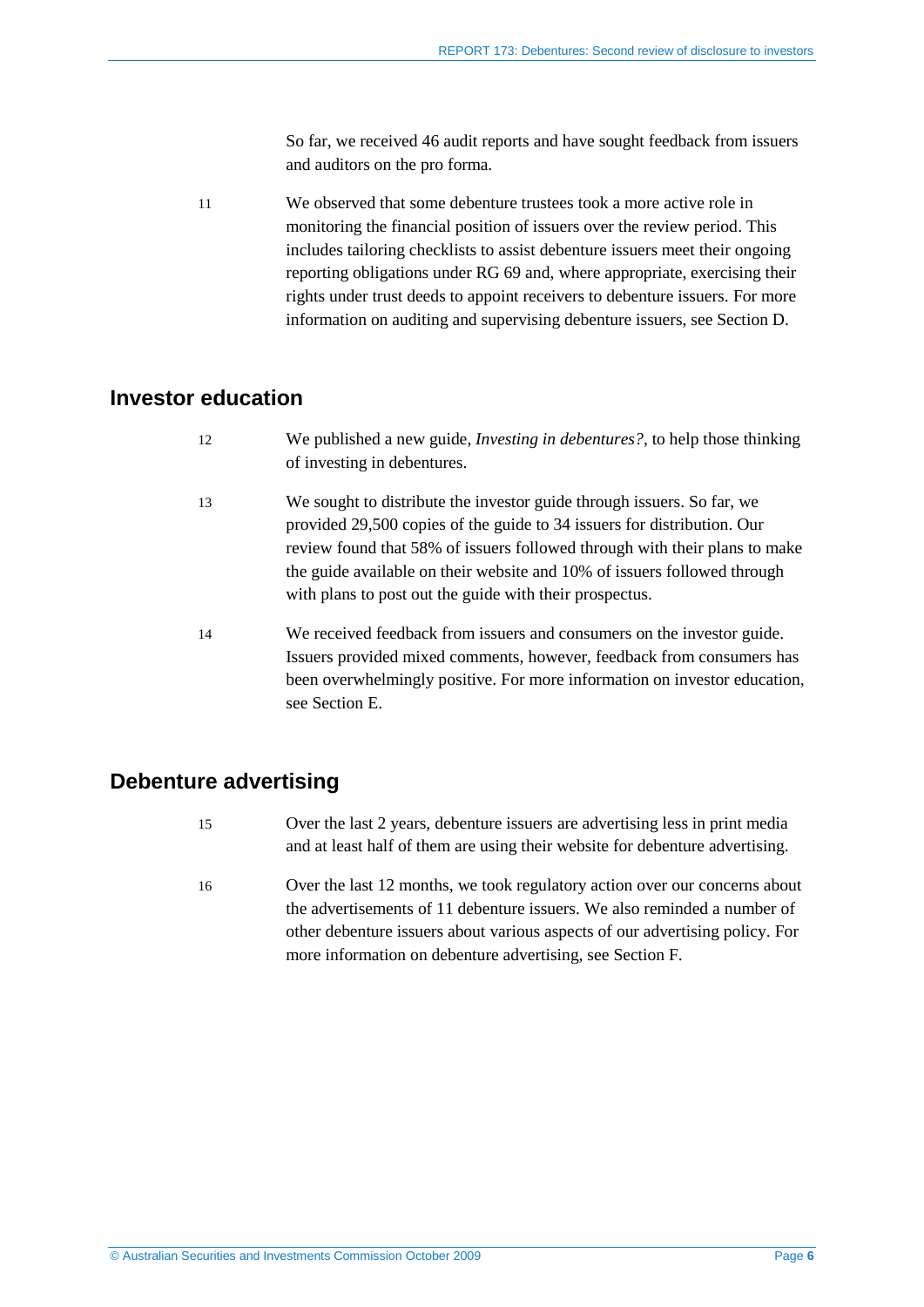So far, we received 46 audit reports and have sought feedback from issuers and auditors on the pro forma.

11 We observed that some debenture trustees took a more active role in monitoring the financial position of issuers over the review period. This includes tailoring checklists to assist debenture issuers meet their ongoing reporting obligations under RG 69 and, where appropriate, exercising their rights under trust deeds to appoint receivers to debenture issuers. For more information on auditing and supervising debenture issuers, see Section D.

### <span id="page-5-0"></span>**Investor education**

- 12 We published a new guide, *Investing in debentures?*, to help those thinking of investing in debentures.
- 13 We sought to distribute the investor guide through issuers. So far, we provided 29,500 copies of the guide to 34 issuers for distribution. Our review found that 58% of issuers followed through with their plans to make the guide available on their website and 10% of issuers followed through with plans to post out the guide with their prospectus.
- 14 We received feedback from issuers and consumers on the investor guide. Issuers provided mixed comments, however, feedback from consumers has been overwhelmingly positive. For more information on investor education, see Section E.

## <span id="page-5-1"></span>**Debenture advertising**

- 15 Over the last 2 years, debenture issuers are advertising less in print media and at least half of them are using their website for debenture advertising.
- 16 Over the last 12 months, we took regulatory action over our concerns about the advertisements of 11 debenture issuers. We also reminded a number of other debenture issuers about various aspects of our advertising policy. For more information on debenture advertising, see Section F.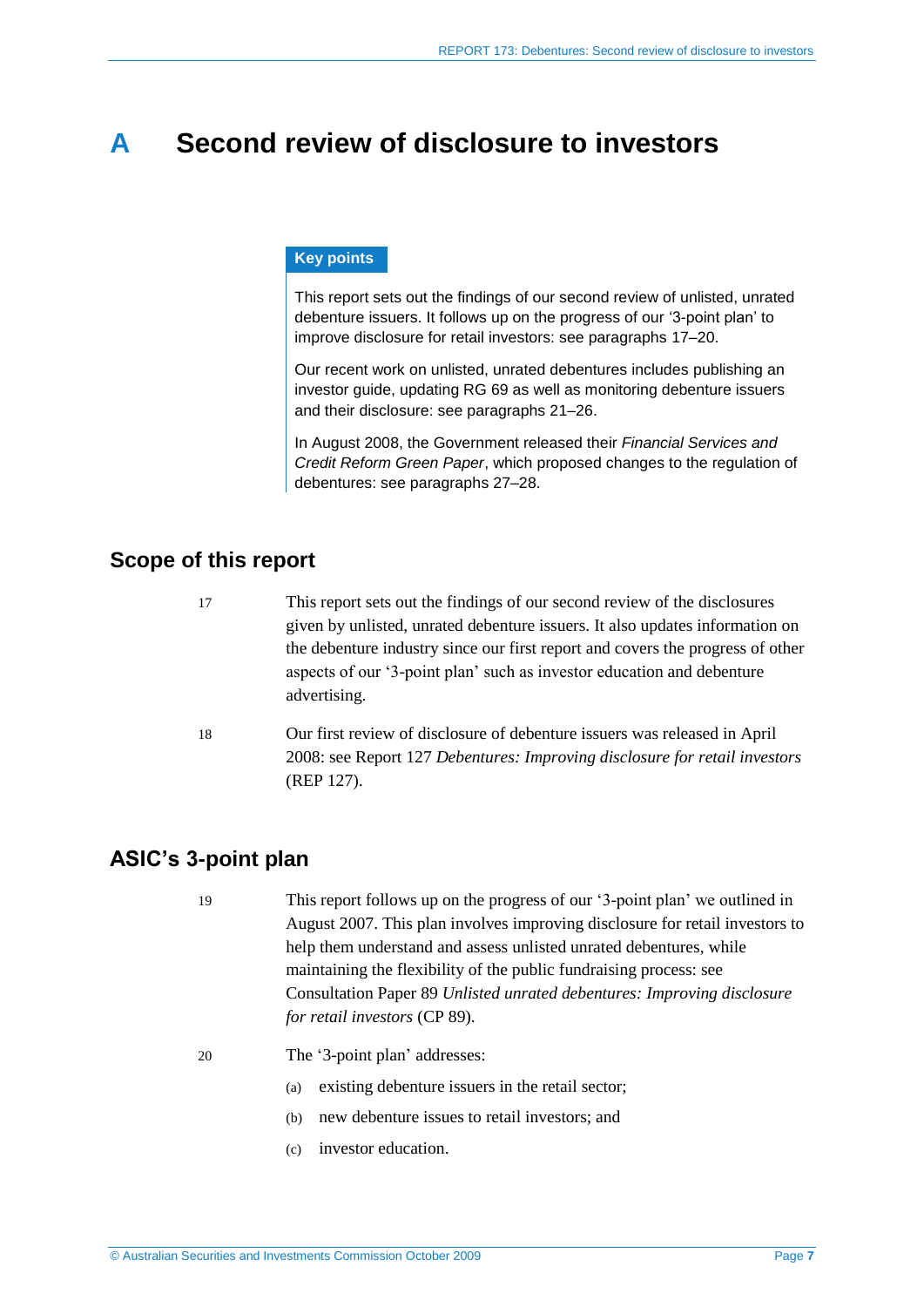# <span id="page-6-0"></span>**A Second review of disclosure to investors**

#### **Key points**

This report sets out the findings of our second review of unlisted, unrated debenture issuers. It follows up on the progress of our '3-point plan' to improve disclosure for retail investors: see paragraphs [17](#page-6-3)[–20.](#page-6-4)

Our recent work on unlisted, unrated debentures includes publishing an investor guide, updating RG 69 as well as monitoring debenture issuers and their disclosure: see paragraphs [21–](#page-7-0)[26.](#page-7-1)

In August 2008, the Government released their *Financial Services and Credit Reform Green Paper*, which proposed changes to the regulation of debentures: see paragraphs [27](#page-8-1)[–28.](#page-8-2)

## <span id="page-6-3"></span><span id="page-6-1"></span>**Scope of this report**

| 17 | This report sets out the findings of our second review of the disclosures                                                                               |
|----|---------------------------------------------------------------------------------------------------------------------------------------------------------|
|    | given by unlisted, unrated debenture issuers. It also updates information on                                                                            |
|    | the debenture industry since our first report and covers the progress of other                                                                          |
|    | aspects of our '3-point plan' such as investor education and debenture<br>advertising.                                                                  |
| 18 | Our first review of disclosure of debenture issuers was released in April<br>2008: see Report 127 Debentures: Improving disclosure for retail investors |
|    | (REP 127).                                                                                                                                              |

# <span id="page-6-2"></span>**ASIC's 3-point plan**

19 This report follows up on the progress of our '3-point plan' we outlined in August 2007. This plan involves improving disclosure for retail investors to help them understand and assess unlisted unrated debentures, while maintaining the flexibility of the public fundraising process: see Consultation Paper 89 *Unlisted unrated debentures: Improving disclosure for retail investors* (CP 89).

- <span id="page-6-4"></span>20 The '3-point plan' addresses:
	- (a) existing debenture issuers in the retail sector;
	- (b) new debenture issues to retail investors; and
	- (c) investor education.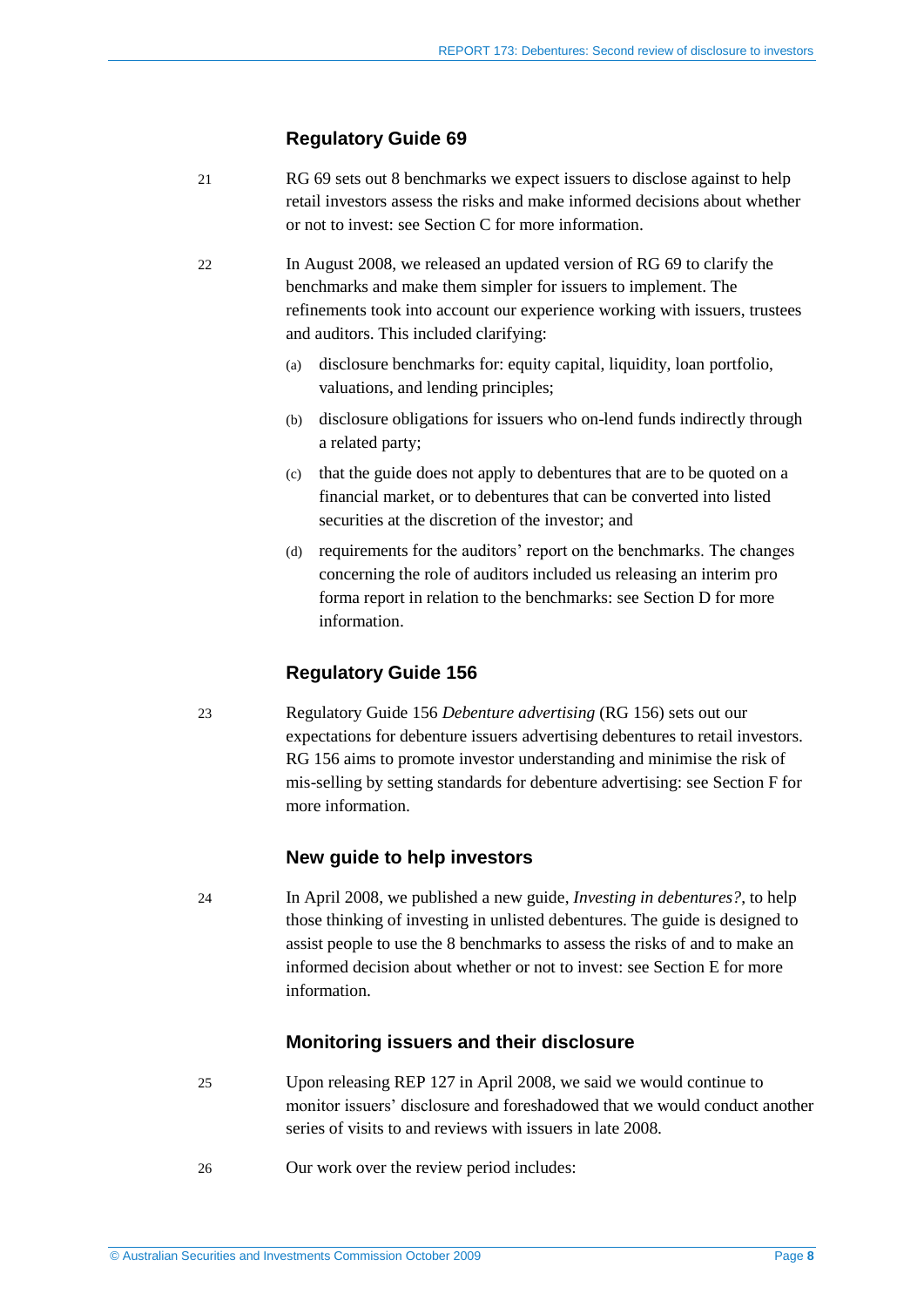#### **Regulatory Guide 69**

- <span id="page-7-0"></span>21 RG 69 sets out 8 benchmarks we expect issuers to disclose against to help retail investors assess the risks and make informed decisions about whether or not to invest: see Section C for more information.
- 22 In August 2008, we released an updated version of RG 69 to clarify the benchmarks and make them simpler for issuers to implement. The refinements took into account our experience working with issuers, trustees and auditors. This included clarifying:
	- (a) disclosure benchmarks for: equity capital, liquidity, loan portfolio, valuations, and lending principles;
	- (b) disclosure obligations for issuers who on-lend funds indirectly through a related party;
	- (c) that the guide does not apply to debentures that are to be quoted on a financial market, or to debentures that can be converted into listed securities at the discretion of the investor; and
	- (d) requirements for the auditors' report on the benchmarks. The changes concerning the role of auditors included us releasing an interim pro forma report in relation to the benchmarks: see Section D for more information.

### **Regulatory Guide 156**

23 Regulatory Guide 156 *Debenture advertising* (RG 156) sets out our expectations for debenture issuers advertising debentures to retail investors. RG 156 aims to promote investor understanding and minimise the risk of mis-selling by setting standards for debenture advertising: see Section F for more information.

### **New guide to help investors**

24 In April 2008, we published a new guide, *Investing in debentures?*, to help those thinking of investing in unlisted debentures. The guide is designed to assist people to use the 8 benchmarks to assess the risks of and to make an informed decision about whether or not to invest: see Section E for more information.

#### **Monitoring issuers and their disclosure**

- 25 Upon releasing REP 127 in April 2008, we said we would continue to monitor issuers' disclosure and foreshadowed that we would conduct another series of visits to and reviews with issuers in late 2008.
- <span id="page-7-1"></span>26 Our work over the review period includes: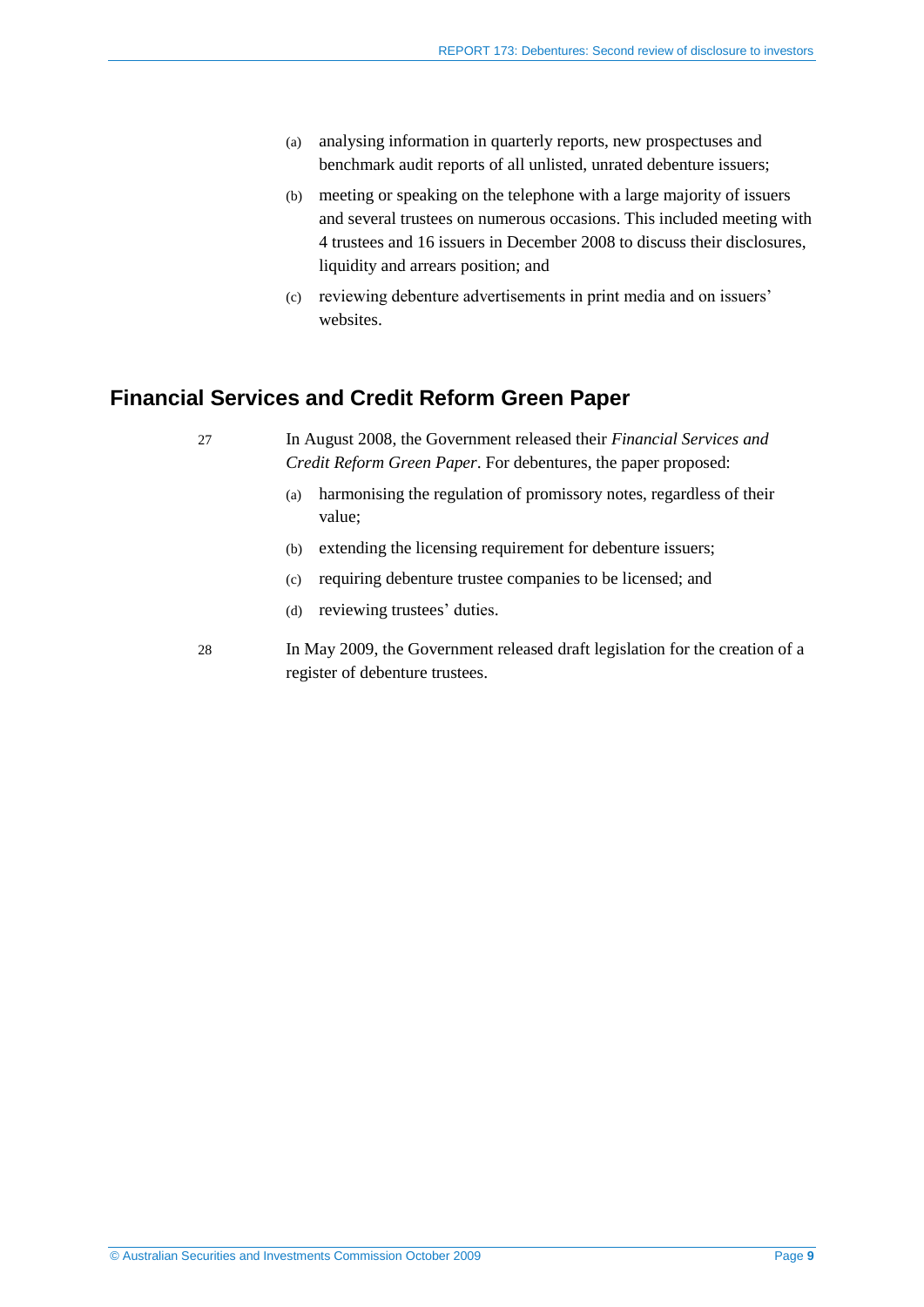- (a) analysing information in quarterly reports, new prospectuses and benchmark audit reports of all unlisted, unrated debenture issuers;
- (b) meeting or speaking on the telephone with a large majority of issuers and several trustees on numerous occasions. This included meeting with 4 trustees and 16 issuers in December 2008 to discuss their disclosures, liquidity and arrears position; and
- (c) reviewing debenture advertisements in print media and on issuers' websites.

# <span id="page-8-1"></span><span id="page-8-0"></span>**Financial Services and Credit Reform Green Paper**

27 In August 2008, the Government released their *Financial Services and Credit Reform Green Paper*. For debentures, the paper proposed:

- (a) harmonising the regulation of promissory notes, regardless of their value;
- (b) extending the licensing requirement for debenture issuers;
- (c) requiring debenture trustee companies to be licensed; and
- (d) reviewing trustees' duties.
- <span id="page-8-2"></span>28 In May 2009, the Government released draft legislation for the creation of a register of debenture trustees.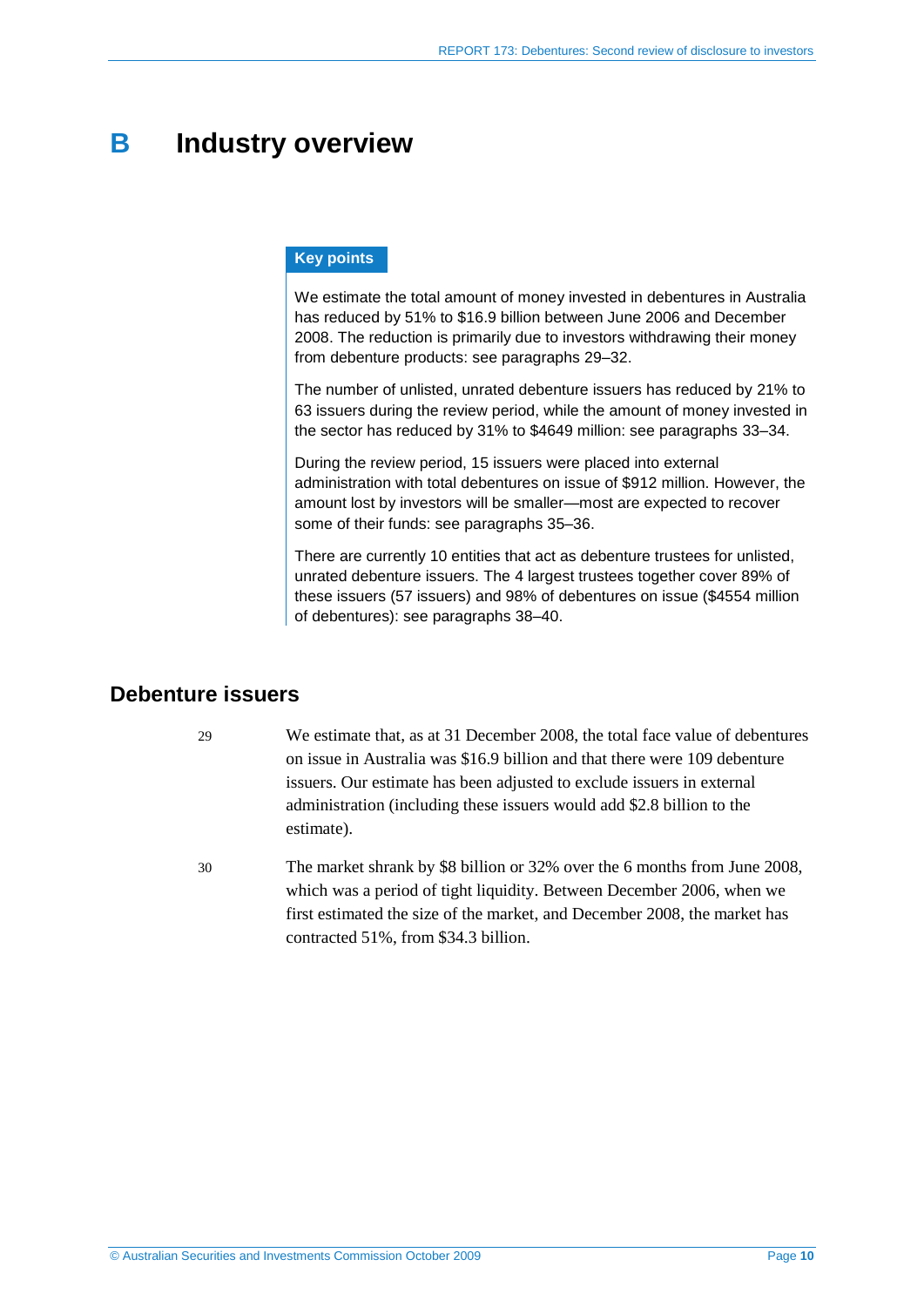# <span id="page-9-0"></span>**B Industry overview**

#### **Key points**

We estimate the total amount of money invested in debentures in Australia has reduced by 51% to \$16.9 billion between June 2006 and December 2008. The reduction is primarily due to investors withdrawing their money from debenture products: see paragraphs [29](#page-9-2)[–32.](#page-10-0)

The number of unlisted, unrated debenture issuers has reduced by 21% to 63 issuers during the review period, while the amount of money invested in the sector has reduced by 31% to \$4649 million: see paragraphs [33–](#page-10-1)[34.](#page-10-2)

During the review period, 15 issuers were placed into external administration with total debentures on issue of \$912 million. However, the amount lost by investors will be smaller—most are expected to recover some of their funds: see paragraphs [35](#page-12-0)[–36.](#page-12-1)

There are currently 10 entities that act as debenture trustees for unlisted, unrated debenture issuers. The 4 largest trustees together cover 89% of these issuers (57 issuers) and 98% of debentures on issue (\$4554 million of debentures): see paragraphs [38–](#page-13-1)[40.](#page-13-2)

# <span id="page-9-2"></span><span id="page-9-1"></span>**Debenture issuers**

29 We estimate that, as at 31 December 2008, the total face value of debentures on issue in Australia was \$16.9 billion and that there were 109 debenture issuers. Our estimate has been adjusted to exclude issuers in external administration (including these issuers would add \$2.8 billion to the estimate).

30 The market shrank by \$8 billion or 32% over the 6 months from June 2008, which was a period of tight liquidity. Between December 2006, when we first estimated the size of the market, and December 2008, the market has contracted 51%, from \$34.3 billion.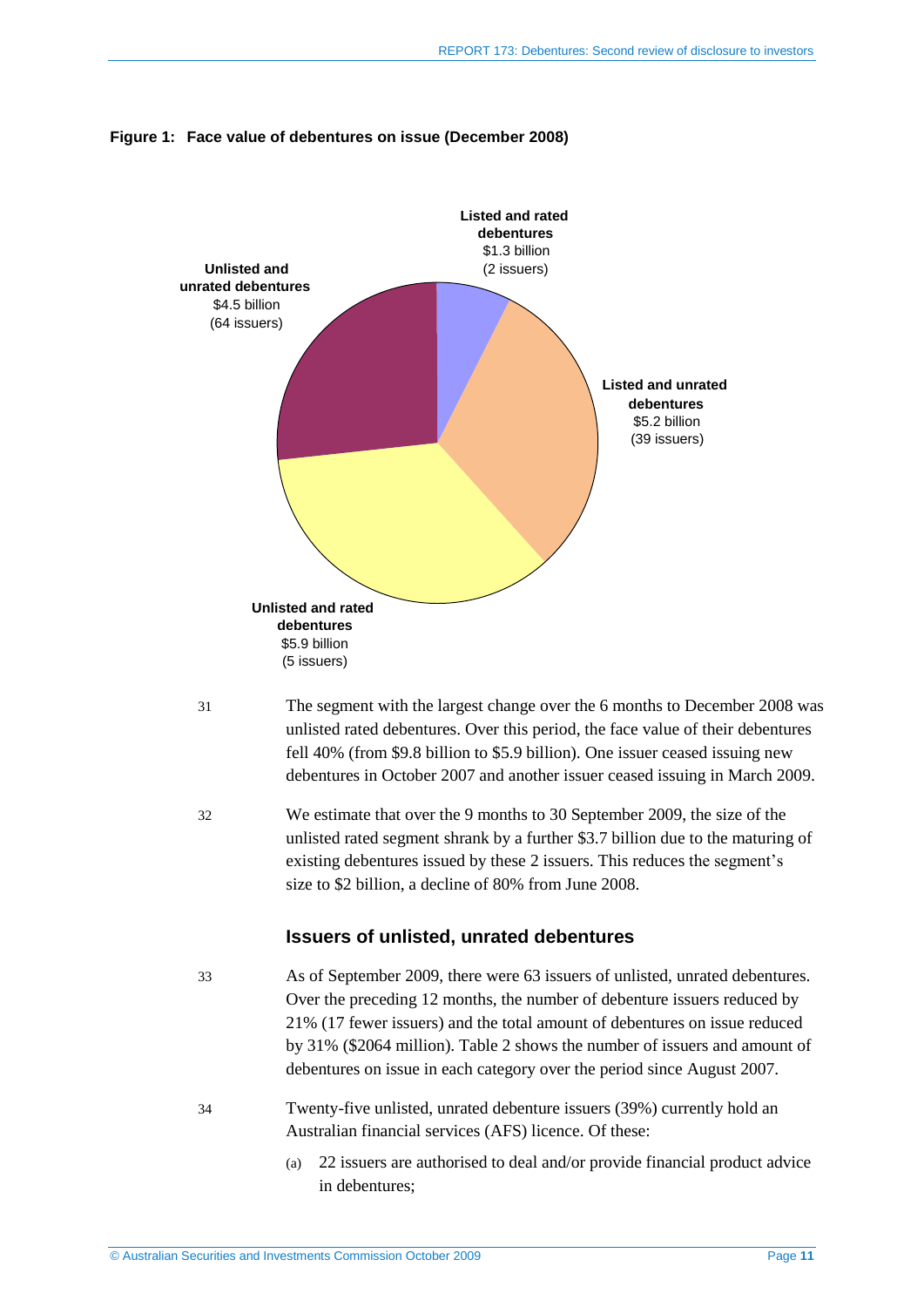

### **Figure 1: Face value of debentures on issue (December 2008)**

- 31 The segment with the largest change over the 6 months to December 2008 was unlisted rated debentures. Over this period, the face value of their debentures fell 40% (from \$9.8 billion to \$5.9 billion). One issuer ceased issuing new debentures in October 2007 and another issuer ceased issuing in March 2009.
- <span id="page-10-0"></span>32 We estimate that over the 9 months to 30 September 2009, the size of the unlisted rated segment shrank by a further \$3.7 billion due to the maturing of existing debentures issued by these 2 issuers. This reduces the segment's size to \$2 billion, a decline of 80% from June 2008.

#### **Issuers of unlisted, unrated debentures**

<span id="page-10-1"></span>

33 As of September 2009, there were 63 issuers of unlisted, unrated debentures. Over the preceding 12 months, the number of debenture issuers reduced by 21% (17 fewer issuers) and the total amount of debentures on issue reduced by 31% (\$2064 million). [Table 2](#page-11-0) shows the number of issuers and amount of debentures on issue in each category over the period since August 2007.

- <span id="page-10-2"></span>34 Twenty-five unlisted, unrated debenture issuers (39%) currently hold an Australian financial services (AFS) licence. Of these:
	- (a) 22 issuers are authorised to deal and/or provide financial product advice in debentures;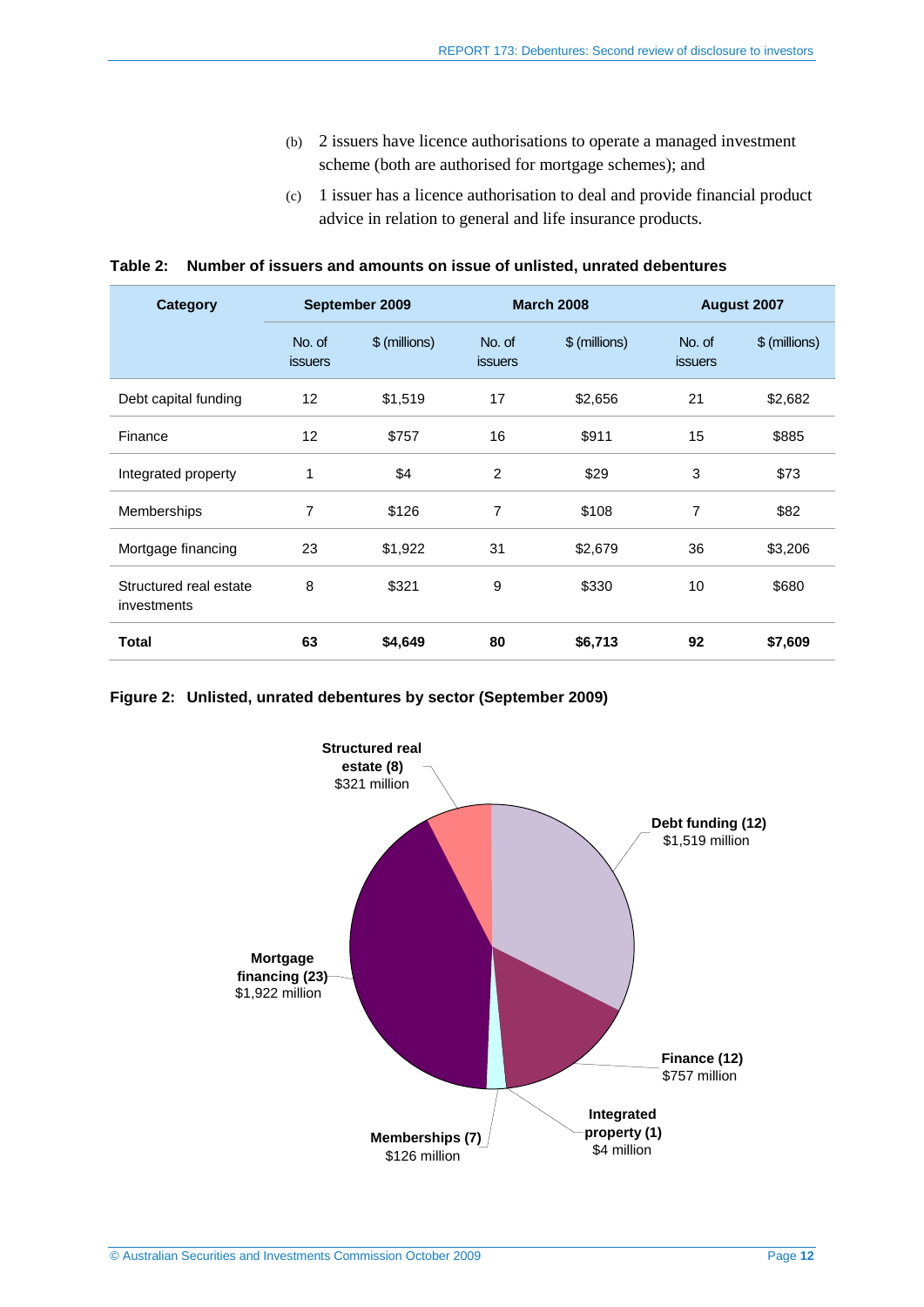- (b) 2 issuers have licence authorisations to operate a managed investment scheme (both are authorised for mortgage schemes); and
- (c) 1 issuer has a licence authorisation to deal and provide financial product advice in relation to general and life insurance products.

<span id="page-11-0"></span>

|  | Table 2: Number of issuers and amounts on issue of unlisted, unrated debentures |  |
|--|---------------------------------------------------------------------------------|--|
|--|---------------------------------------------------------------------------------|--|

| <b>Category</b>                       | September 2009           |               | <b>March 2008</b>        |               | August 2007              |               |
|---------------------------------------|--------------------------|---------------|--------------------------|---------------|--------------------------|---------------|
|                                       | No. of<br><b>issuers</b> | \$ (millions) | No. of<br><b>issuers</b> | \$ (millions) | No. of<br><b>issuers</b> | \$ (millions) |
| Debt capital funding                  | 12                       | \$1,519       | 17                       | \$2,656       | 21                       | \$2,682       |
| Finance                               | 12                       | \$757         | 16                       | \$911         | 15                       | \$885         |
| Integrated property                   | 1                        | \$4           | $\overline{2}$           | \$29          | 3                        | \$73          |
| Memberships                           | 7                        | \$126         | 7                        | \$108         | 7                        | \$82          |
| Mortgage financing                    | 23                       | \$1,922       | 31                       | \$2,679       | 36                       | \$3,206       |
| Structured real estate<br>investments | 8                        | \$321         | 9                        | \$330         | 10                       | \$680         |
| <b>Total</b>                          | 63                       | \$4,649       | 80                       | \$6,713       | 92                       | \$7,609       |

**Figure 2: Unlisted, unrated debentures by sector (September 2009)**

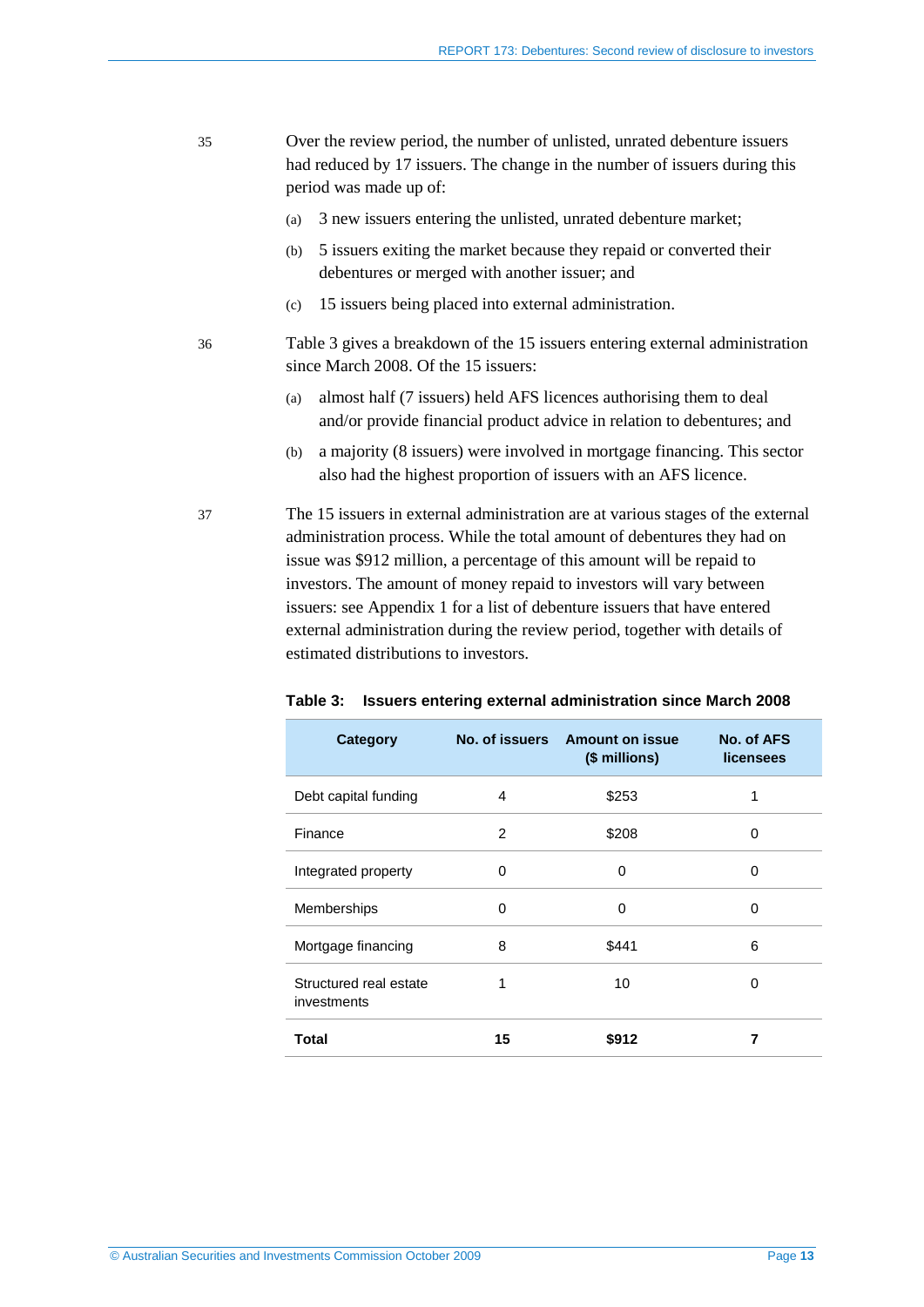- <span id="page-12-3"></span><span id="page-12-0"></span>35 Over the review period, the number of unlisted, unrated debenture issuers had reduced by 17 issuers. The change in the number of issuers during this period was made up of:
	- (a) 3 new issuers entering the unlisted, unrated debenture market;
	- (b) 5 issuers exiting the market because they repaid or converted their debentures or merged with another issuer; and
	- (c) 15 issuers being placed into external administration.
- <span id="page-12-1"></span>36 [Table 3](#page-12-2) gives a breakdown of the 15 issuers entering external administration since March 2008. Of the 15 issuers:
	- (a) almost half (7 issuers) held AFS licences authorising them to deal and/or provide financial product advice in relation to debentures; and
	- (b) a majority (8 issuers) were involved in mortgage financing. This sector also had the highest proportion of issuers with an AFS licence.

<span id="page-12-4"></span>37 The 15 issuers in external administration are at various stages of the external administration process. While the total amount of debentures they had on issue was \$912 million, a percentage of this amount will be repaid to investors. The amount of money repaid to investors will vary between issuers: see Appendix 1 for a list of debenture issuers that have entered external administration during the review period, together with details of estimated distributions to investors.

| <b>Category</b>                       |    | No. of issuers Amount on issue<br>(\$ millions) | No. of AFS<br><b>licensees</b> |
|---------------------------------------|----|-------------------------------------------------|--------------------------------|
| Debt capital funding                  | 4  | \$253                                           | 1                              |
| Finance                               | 2  | \$208                                           | 0                              |
| Integrated property                   | 0  | 0                                               | 0                              |
| Memberships                           | 0  | 0                                               | 0                              |
| Mortgage financing                    | 8  | \$441                                           | 6                              |
| Structured real estate<br>investments |    | 10                                              | O                              |
| Total                                 | 15 | \$912                                           |                                |

#### <span id="page-12-2"></span>**Table 3: Issuers entering external administration since March 2008**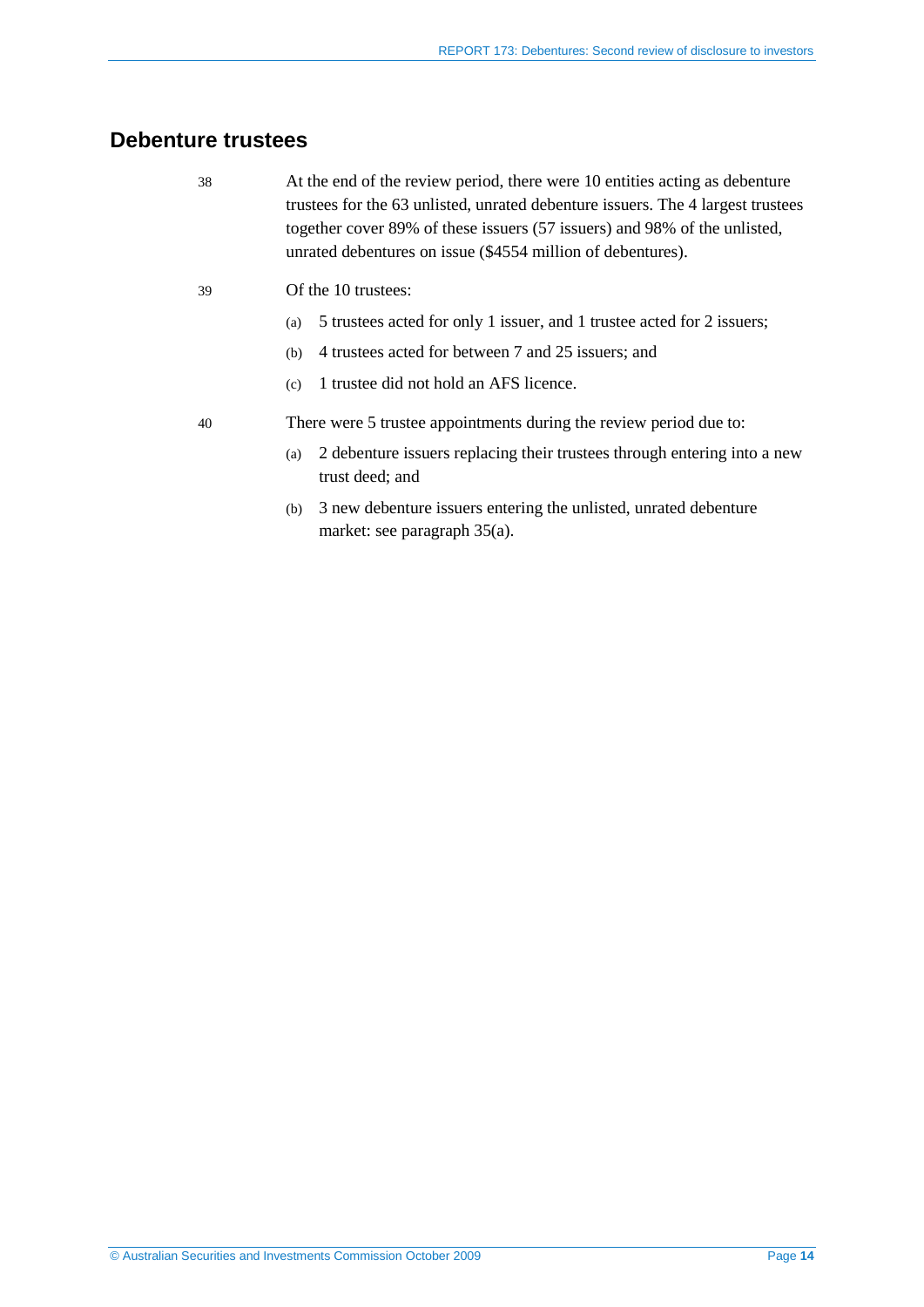# <span id="page-13-1"></span><span id="page-13-0"></span>**Debenture trustees**

| 38 | At the end of the review period, there were 10 entities acting as debenture<br>trustees for the 63 unlisted, unrated debenture issuers. The 4 largest trustees<br>together cover 89% of these issuers (57 issuers) and 98% of the unlisted,<br>unrated debentures on issue (\$4554 million of debentures). |
|----|------------------------------------------------------------------------------------------------------------------------------------------------------------------------------------------------------------------------------------------------------------------------------------------------------------|
| 39 | Of the 10 trustees:                                                                                                                                                                                                                                                                                        |
|    | 5 trustees acted for only 1 issuer, and 1 trustee acted for 2 issuers;<br>(a)                                                                                                                                                                                                                              |
|    | 4 trustees acted for between 7 and 25 issuers; and<br>(b)                                                                                                                                                                                                                                                  |
|    | 1 trustee did not hold an AFS licence.<br>(c)                                                                                                                                                                                                                                                              |

<span id="page-13-2"></span>40 There were 5 trustee appointments during the review period due to:

- (a) 2 debenture issuers replacing their trustees through entering into a new trust deed; and
- (b) 3 new debenture issuers entering the unlisted, unrated debenture market: see paragraph [35\(a\).](#page-12-3)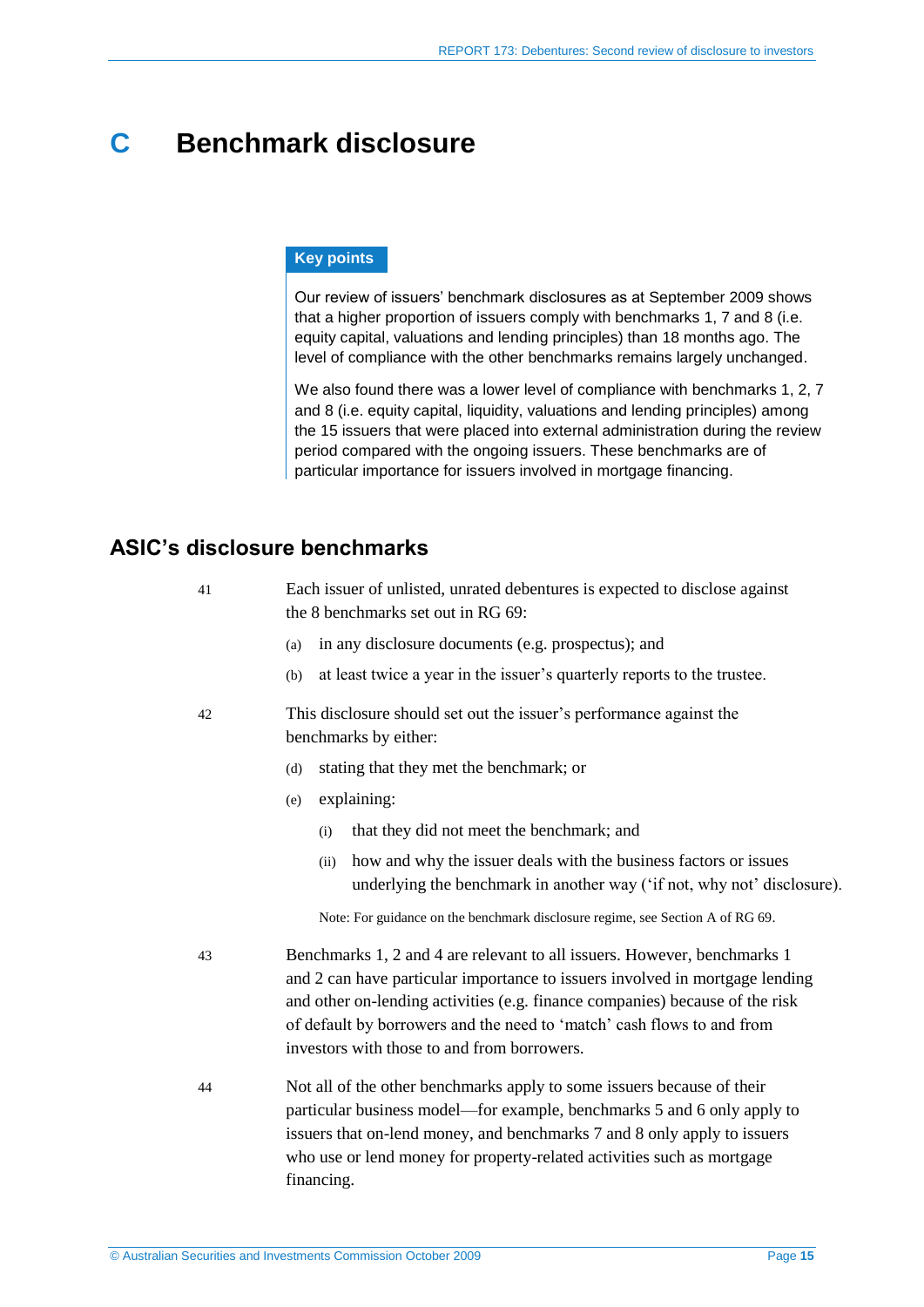# <span id="page-14-0"></span>**C Benchmark disclosure**

### **Key points**

Our review of issuers' benchmark disclosures as at September 2009 shows that a higher proportion of issuers comply with benchmarks 1, 7 and 8 (i.e. equity capital, valuations and lending principles) than 18 months ago. The level of compliance with the other benchmarks remains largely unchanged.

We also found there was a lower level of compliance with benchmarks 1, 2, 7 and 8 (i.e. equity capital, liquidity, valuations and lending principles) among the 15 issuers that were placed into external administration during the review period compared with the ongoing issuers. These benchmarks are of particular importance for issuers involved in mortgage financing.

# <span id="page-14-1"></span>**ASIC's disclosure benchmarks**

| 41 | Each issuer of unlisted, unrated debentures is expected to disclose against<br>the 8 benchmarks set out in RG 69:                                                                                                                                                                                                                                                 |
|----|-------------------------------------------------------------------------------------------------------------------------------------------------------------------------------------------------------------------------------------------------------------------------------------------------------------------------------------------------------------------|
|    | in any disclosure documents (e.g. prospectus); and<br>(a)                                                                                                                                                                                                                                                                                                         |
|    | at least twice a year in the issuer's quarterly reports to the trustee.<br>(b)                                                                                                                                                                                                                                                                                    |
| 42 | This disclosure should set out the issuer's performance against the<br>benchmarks by either:                                                                                                                                                                                                                                                                      |
|    | stating that they met the benchmark; or<br>(d)                                                                                                                                                                                                                                                                                                                    |
|    | explaining:<br>(e)                                                                                                                                                                                                                                                                                                                                                |
|    | that they did not meet the benchmark; and<br>(i)                                                                                                                                                                                                                                                                                                                  |
|    | how and why the issuer deals with the business factors or issues<br>(ii)<br>underlying the benchmark in another way ('if not, why not' disclosure).                                                                                                                                                                                                               |
|    | Note: For guidance on the benchmark disclosure regime, see Section A of RG 69.                                                                                                                                                                                                                                                                                    |
| 43 | Benchmarks 1, 2 and 4 are relevant to all issuers. However, benchmarks 1<br>and 2 can have particular importance to issuers involved in mortgage lending<br>and other on-lending activities (e.g. finance companies) because of the risk<br>of default by borrowers and the need to 'match' cash flows to and from<br>investors with those to and from borrowers. |
| 44 | Not all of the other benchmarks apply to some issuers because of their<br>particular business model—for example, benchmarks 5 and 6 only apply to<br>issuers that on-lend money, and benchmarks 7 and 8 only apply to issuers<br>who use or lend money for property-related activities such as mortgage<br>financing.                                             |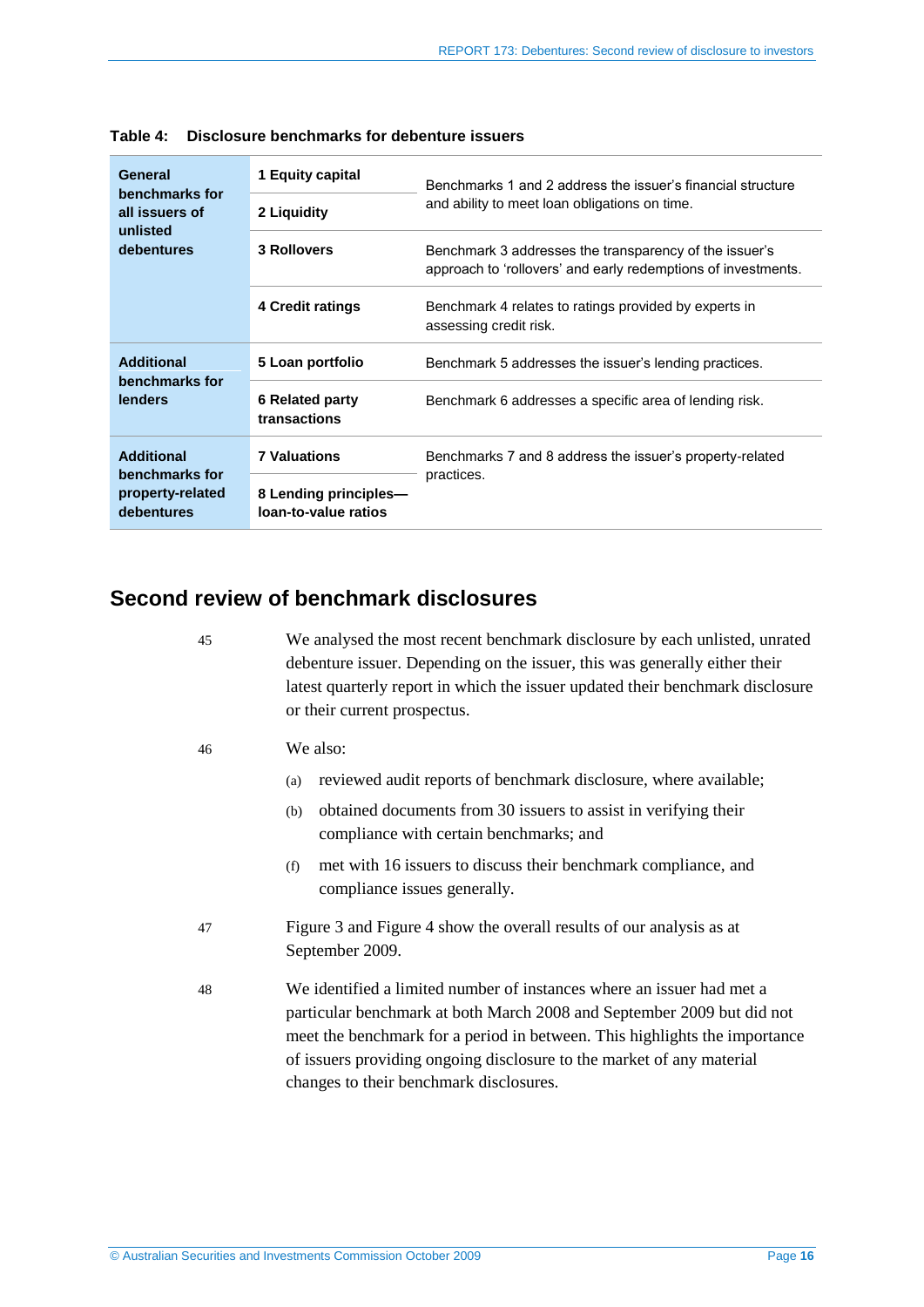| General                                          | 1 Equity capital                              | Benchmarks 1 and 2 address the issuer's financial structure                                                             |
|--------------------------------------------------|-----------------------------------------------|-------------------------------------------------------------------------------------------------------------------------|
| benchmarks for<br>all issuers of                 | 2 Liquidity                                   | and ability to meet loan obligations on time.                                                                           |
| unlisted<br>debentures                           | <b>3 Rollovers</b>                            | Benchmark 3 addresses the transparency of the issuer's<br>approach to 'rollovers' and early redemptions of investments. |
|                                                  | 4 Credit ratings                              | Benchmark 4 relates to ratings provided by experts in<br>assessing credit risk.                                         |
| <b>Additional</b>                                | 5 Loan portfolio                              | Benchmark 5 addresses the issuer's lending practices.                                                                   |
| benchmarks for<br>lenders                        | <b>6 Related party</b><br>transactions        | Benchmark 6 addresses a specific area of lending risk.                                                                  |
| <b>Additional</b>                                | <b>7 Valuations</b>                           | Benchmarks 7 and 8 address the issuer's property-related                                                                |
| benchmarks for<br>property-related<br>debentures | 8 Lending principles-<br>loan-to-value ratios | practices.                                                                                                              |

**Table 4: Disclosure benchmarks for debenture issuers**

# <span id="page-15-0"></span>**Second review of benchmark disclosures**

45 We analysed the most recent benchmark disclosure by each unlisted, unrated debenture issuer. Depending on the issuer, this was generally either their latest quarterly report in which the issuer updated their benchmark disclosure or their current prospectus.

- 46 We also:
	- (a) reviewed audit reports of benchmark disclosure, where available;
	- (b) obtained documents from 30 issuers to assist in verifying their compliance with certain benchmarks; and
	- (f) met with 16 issuers to discuss their benchmark compliance, and compliance issues generally.
- 47 Figure 3 and Figure 4 show the overall results of our analysis as at September 2009.
- 48 We identified a limited number of instances where an issuer had met a particular benchmark at both March 2008 and September 2009 but did not meet the benchmark for a period in between. This highlights the importance of issuers providing ongoing disclosure to the market of any material changes to their benchmark disclosures.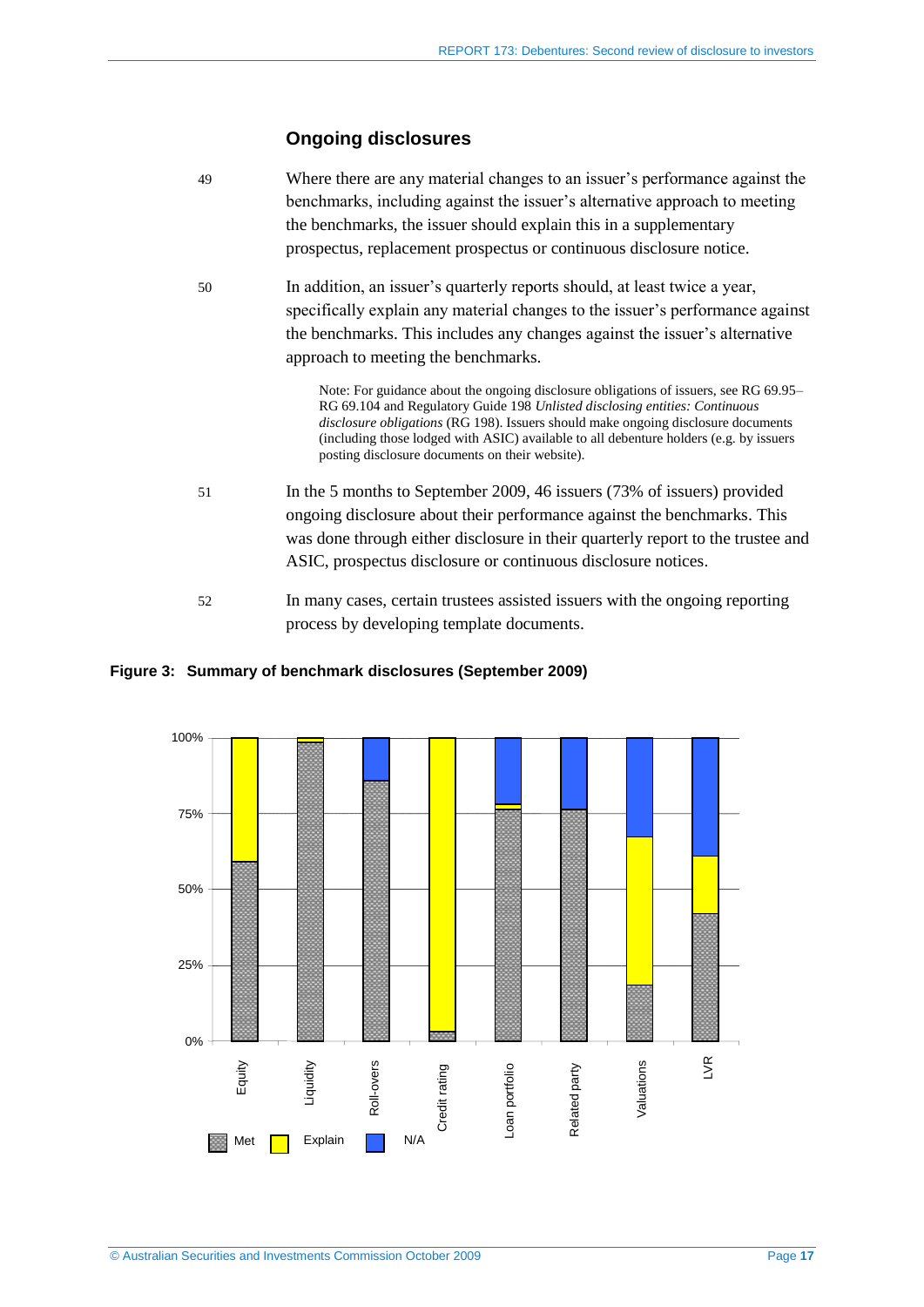# **Ongoing disclosures**

| 49 | Where there are any material changes to an issuer's performance against the<br>benchmarks, including against the issuer's alternative approach to meeting<br>the benchmarks, the issuer should explain this in a supplementary<br>prospectus, replacement prospectus or continuous disclosure notice.                                                                                                  |
|----|--------------------------------------------------------------------------------------------------------------------------------------------------------------------------------------------------------------------------------------------------------------------------------------------------------------------------------------------------------------------------------------------------------|
| 50 | In addition, an issuer's quarterly reports should, at least twice a year,<br>specifically explain any material changes to the issuer's performance against<br>the benchmarks. This includes any changes against the issuer's alternative<br>approach to meeting the benchmarks.                                                                                                                        |
|    | Note: For guidance about the ongoing disclosure obligations of issuers, see RG 69.95-<br>RG 69.104 and Regulatory Guide 198 Unlisted disclosing entities: Continuous<br>disclosure obligations (RG 198). Issuers should make ongoing disclosure documents<br>(including those lodged with ASIC) available to all debenture holders (e.g. by issuers<br>posting disclosure documents on their website). |
| 51 | In the 5 months to September 2009, 46 issuers (73% of issuers) provided<br>ongoing disclosure about their performance against the benchmarks. This<br>was done through either disclosure in their quarterly report to the trustee and<br>ASIC, prospectus disclosure or continuous disclosure notices.                                                                                                 |
| 52 | In many cases, certain trustees assisted issuers with the ongoing reporting<br>process by developing template documents.                                                                                                                                                                                                                                                                               |

### **Figure 3: Summary of benchmark disclosures (September 2009)**

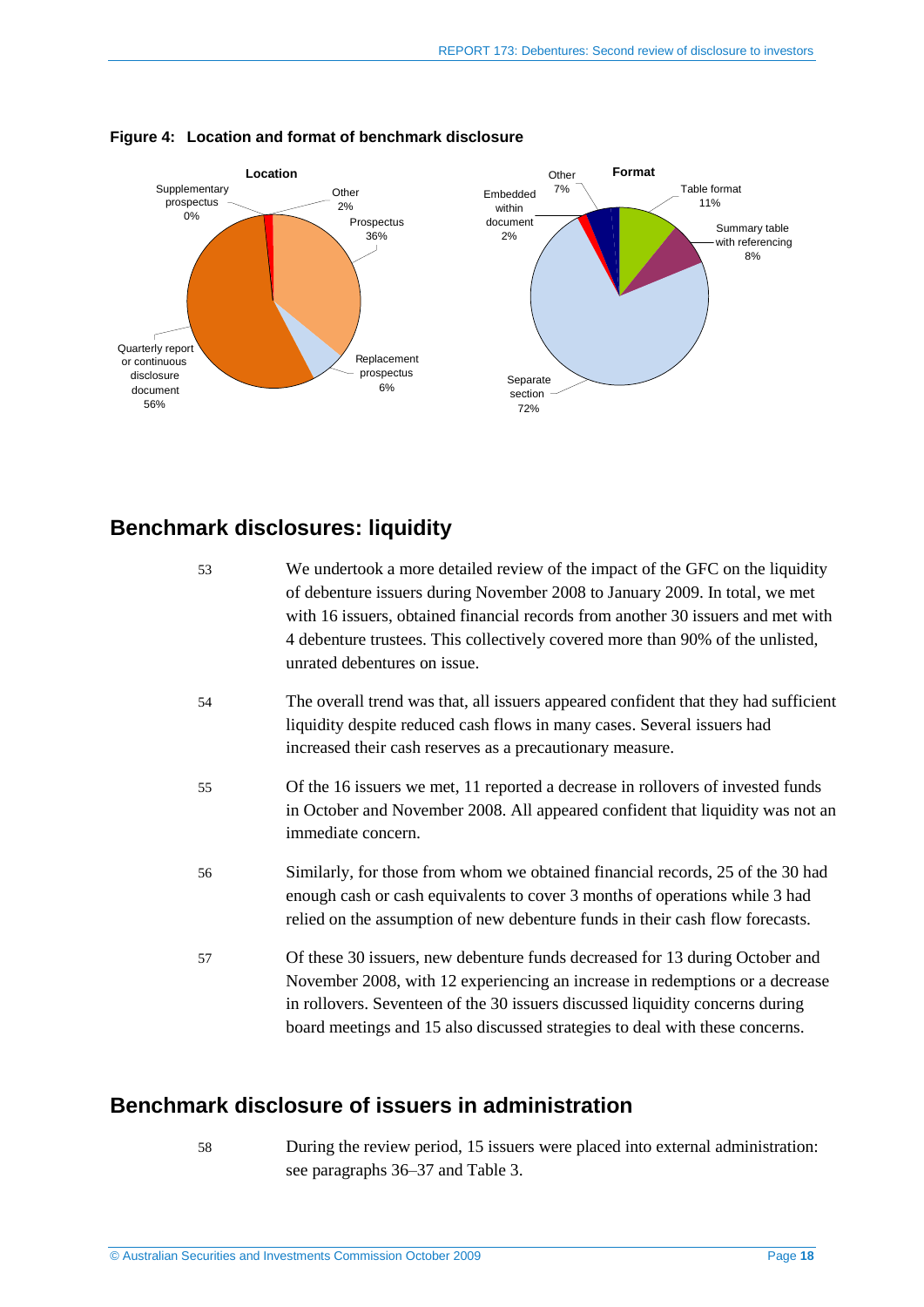

#### **Figure 4: Location and format of benchmark disclosure**

# <span id="page-17-0"></span>**Benchmark disclosures: liquidity**

| 53 | We undertook a more detailed review of the impact of the GFC on the liquidity<br>of debenture issuers during November 2008 to January 2009. In total, we met<br>with 16 issuers, obtained financial records from another 30 issuers and met with<br>4 debenture trustees. This collectively covered more than 90% of the unlisted,<br>unrated debentures on issue. |
|----|--------------------------------------------------------------------------------------------------------------------------------------------------------------------------------------------------------------------------------------------------------------------------------------------------------------------------------------------------------------------|
| 54 | The overall trend was that, all issuers appeared confident that they had sufficient<br>liquidity despite reduced cash flows in many cases. Several issuers had<br>increased their cash reserves as a precautionary measure.                                                                                                                                        |
| 55 | Of the 16 issuers we met, 11 reported a decrease in rollovers of invested funds<br>in October and November 2008. All appeared confident that liquidity was not an<br>immediate concern.                                                                                                                                                                            |
| 56 | Similarly, for those from whom we obtained financial records, 25 of the 30 had<br>enough cash or cash equivalents to cover 3 months of operations while 3 had<br>relied on the assumption of new debenture funds in their cash flow forecasts.                                                                                                                     |
| 57 | Of these 30 issuers, new debenture funds decreased for 13 during October and<br>November 2008, with 12 experiencing an increase in redemptions or a decrease<br>in rollovers. Seventeen of the 30 issuers discussed liquidity concerns during<br>board meetings and 15 also discussed strategies to deal with these concerns.                                      |

# <span id="page-17-1"></span>**Benchmark disclosure of issuers in administration**

58 During the review period, 15 issuers were placed into external administration: see paragraphs [36](#page-12-1)[–37](#page-12-4) and [Table 3.](#page-12-2)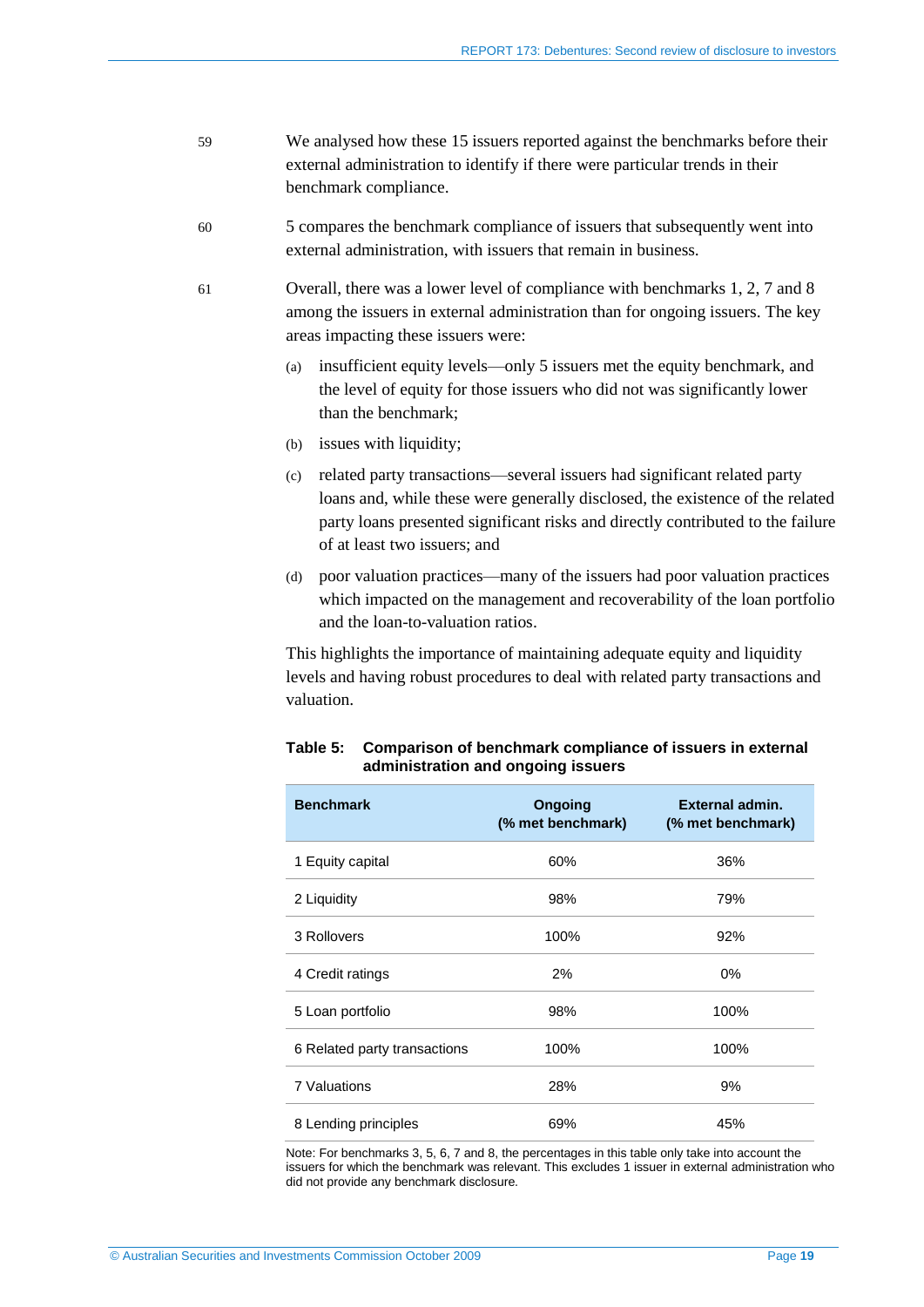- 59 We analysed how these 15 issuers reported against the benchmarks before their external administration to identify if there were particular trends in their benchmark compliance.
- 60 5 compares the benchmark compliance of issuers that subsequently went into external administration, with issuers that remain in business.
- 61 Overall, there was a lower level of compliance with benchmarks 1, 2, 7 and 8 among the issuers in external administration than for ongoing issuers. The key areas impacting these issuers were:
	- (a) insufficient equity levels—only 5 issuers met the equity benchmark, and the level of equity for those issuers who did not was significantly lower than the benchmark;
	- (b) issues with liquidity;
	- (c) related party transactions—several issuers had significant related party loans and, while these were generally disclosed, the existence of the related party loans presented significant risks and directly contributed to the failure of at least two issuers; and
	- (d) poor valuation practices—many of the issuers had poor valuation practices which impacted on the management and recoverability of the loan portfolio and the loan-to-valuation ratios.

<span id="page-18-0"></span>This highlights the importance of maintaining adequate equity and liquidity levels and having robust procedures to deal with related party transactions and valuation.

| <b>Benchmark</b>             | Ongoing<br>(% met benchmark) | <b>External admin.</b><br>(% met benchmark) |
|------------------------------|------------------------------|---------------------------------------------|
| 1 Equity capital             | 60%                          | 36%                                         |
| 2 Liquidity                  | 98%                          | 79%                                         |
| 3 Rollovers                  | 100%                         | 92%                                         |
| 4 Credit ratings             | 2%                           | $0\%$                                       |
| 5 Loan portfolio             | 98%                          | 100%                                        |
| 6 Related party transactions | 100%                         | 100%                                        |
| 7 Valuations                 | 28%                          | 9%                                          |
| 8 Lending principles         | 69%                          | 45%                                         |

#### **Table 5: Comparison of benchmark compliance of issuers in external administration and ongoing issuers**

Note: For benchmarks 3, 5, 6, 7 and 8, the percentages in this table only take into account the issuers for which the benchmark was relevant. This excludes 1 issuer in external administration who did not provide any benchmark disclosure.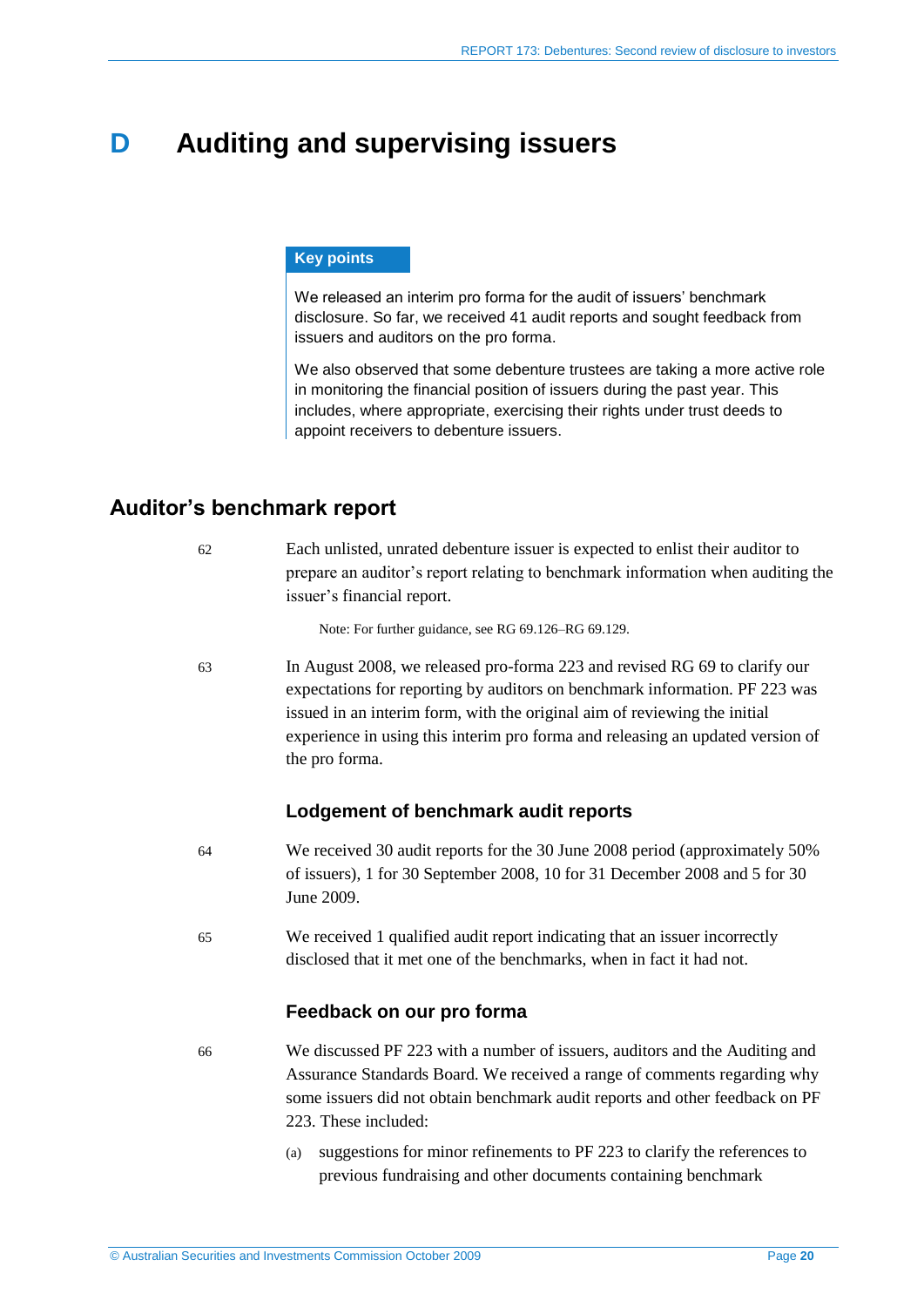# <span id="page-19-0"></span>**D Auditing and supervising issuers**

### **Key points**

We released an interim pro forma for the audit of issuers' benchmark disclosure. So far, we received 41 audit reports and sought feedback from issuers and auditors on the pro forma.

We also observed that some debenture trustees are taking a more active role in monitoring the financial position of issuers during the past year. This includes, where appropriate, exercising their rights under trust deeds to appoint receivers to debenture issuers.

# <span id="page-19-1"></span>**Auditor's benchmark report**

| -62 | Each unlisted, unrated debenture issuer is expected to enlist their auditor to  |
|-----|---------------------------------------------------------------------------------|
|     | prepare an auditor's report relating to benchmark information when auditing the |
|     | issuer's financial report.                                                      |
|     |                                                                                 |

Note: For further guidance, see RG 69.126–RG 69.129.

63 In August 2008, we released pro-forma 223 and revised RG 69 to clarify our expectations for reporting by auditors on benchmark information. PF 223 was issued in an interim form, with the original aim of reviewing the initial experience in using this interim pro forma and releasing an updated version of the pro forma.

### **Lodgement of benchmark audit reports**

- 64 We received 30 audit reports for the 30 June 2008 period (approximately 50% of issuers), 1 for 30 September 2008, 10 for 31 December 2008 and 5 for 30 June 2009.
- 65 We received 1 qualified audit report indicating that an issuer incorrectly disclosed that it met one of the benchmarks, when in fact it had not.

### **Feedback on our pro forma**

- 66 We discussed PF 223 with a number of issuers, auditors and the Auditing and Assurance Standards Board. We received a range of comments regarding why some issuers did not obtain benchmark audit reports and other feedback on PF 223. These included:
	- (a) suggestions for minor refinements to PF 223 to clarify the references to previous fundraising and other documents containing benchmark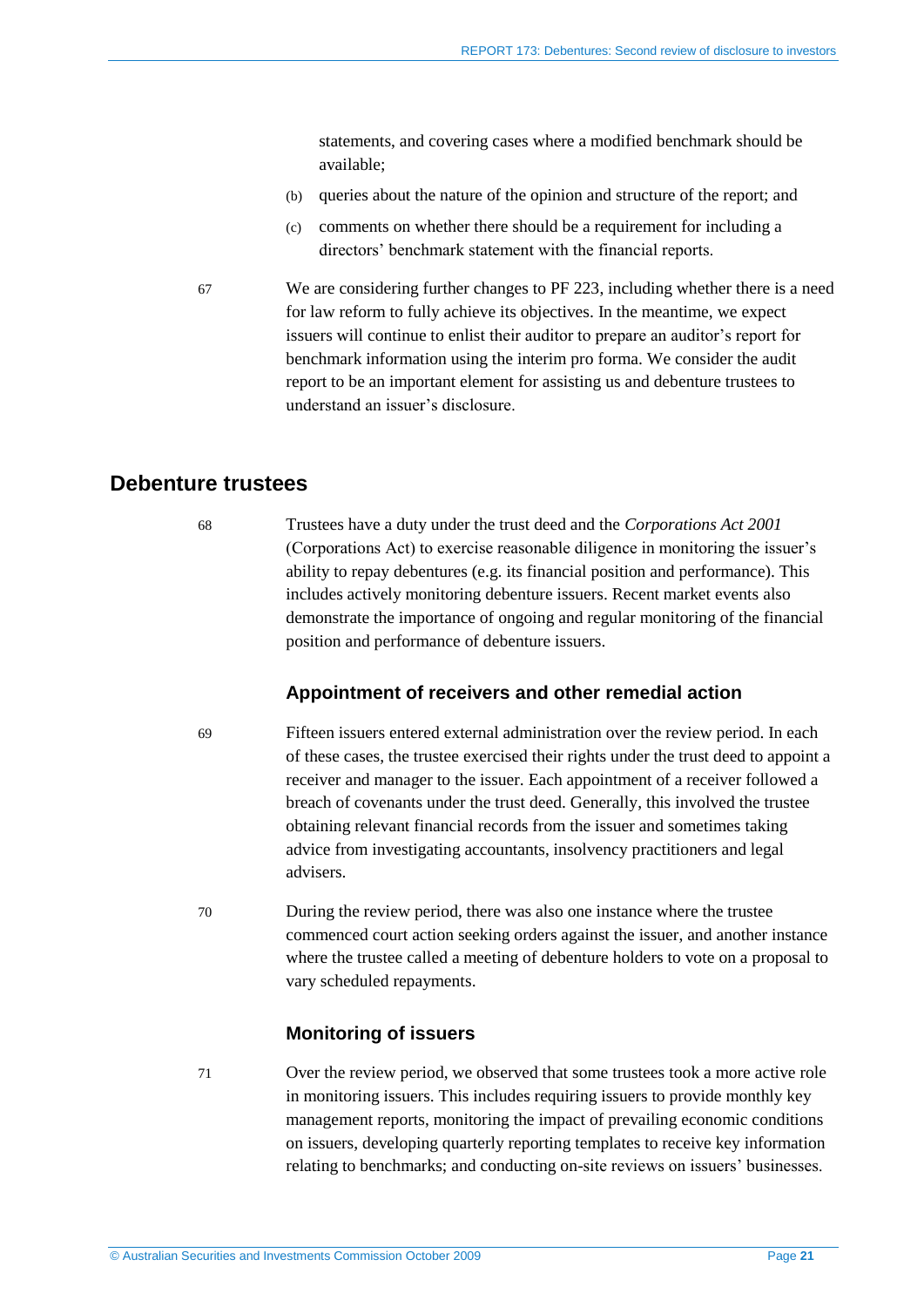statements, and covering cases where a modified benchmark should be available;

- (b) queries about the nature of the opinion and structure of the report; and
- (c) comments on whether there should be a requirement for including a directors' benchmark statement with the financial reports.
- 67 We are considering further changes to PF 223, including whether there is a need for law reform to fully achieve its objectives. In the meantime, we expect issuers will continue to enlist their auditor to prepare an auditor's report for benchmark information using the interim pro forma. We consider the audit report to be an important element for assisting us and debenture trustees to understand an issuer's disclosure.

## <span id="page-20-0"></span>**Debenture trustees**

68 Trustees have a duty under the trust deed and the *Corporations Act 2001* (Corporations Act) to exercise reasonable diligence in monitoring the issuer's ability to repay debentures (e.g. its financial position and performance). This includes actively monitoring debenture issuers. Recent market events also demonstrate the importance of ongoing and regular monitoring of the financial position and performance of debenture issuers.

### **Appointment of receivers and other remedial action**

- 69 Fifteen issuers entered external administration over the review period. In each of these cases, the trustee exercised their rights under the trust deed to appoint a receiver and manager to the issuer. Each appointment of a receiver followed a breach of covenants under the trust deed. Generally, this involved the trustee obtaining relevant financial records from the issuer and sometimes taking advice from investigating accountants, insolvency practitioners and legal advisers.
- 70 During the review period, there was also one instance where the trustee commenced court action seeking orders against the issuer, and another instance where the trustee called a meeting of debenture holders to vote on a proposal to vary scheduled repayments.

### **Monitoring of issuers**

71 Over the review period, we observed that some trustees took a more active role in monitoring issuers. This includes requiring issuers to provide monthly key management reports, monitoring the impact of prevailing economic conditions on issuers, developing quarterly reporting templates to receive key information relating to benchmarks; and conducting on-site reviews on issuers' businesses.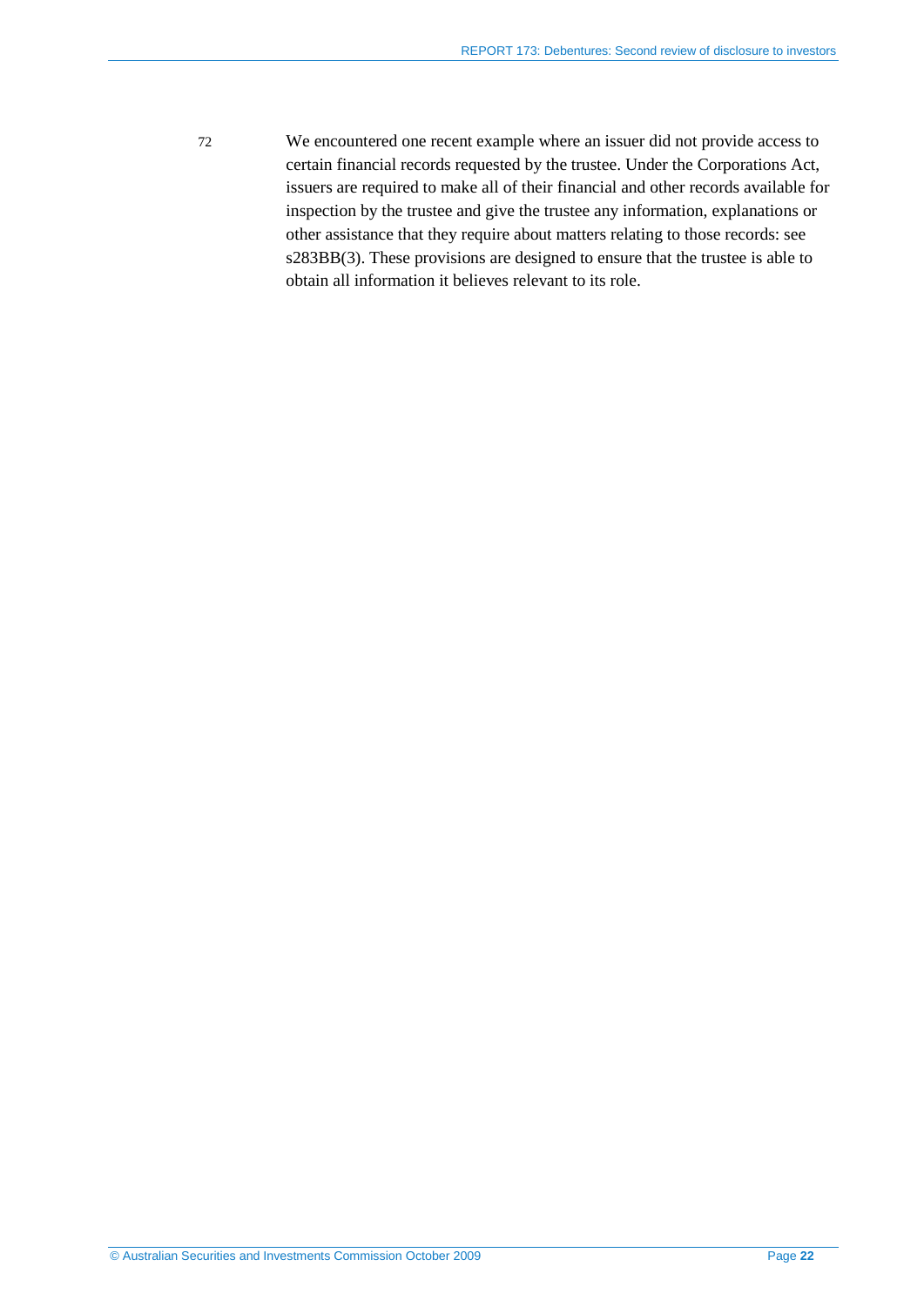72 We encountered one recent example where an issuer did not provide access to certain financial records requested by the trustee. Under the Corporations Act, issuers are required to make all of their financial and other records available for inspection by the trustee and give the trustee any information, explanations or other assistance that they require about matters relating to those records: see s283BB(3). These provisions are designed to ensure that the trustee is able to obtain all information it believes relevant to its role.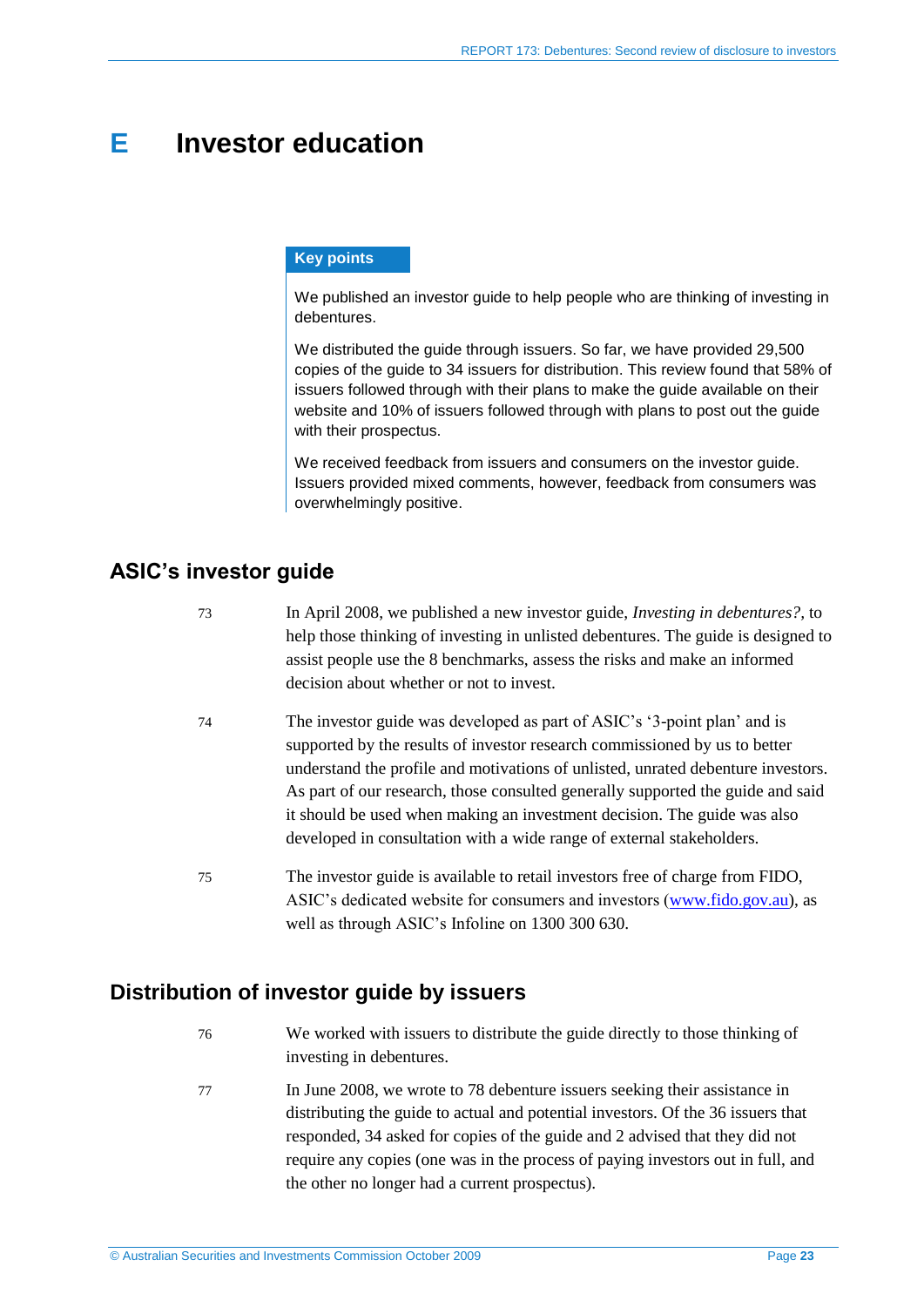# <span id="page-22-0"></span>**E Investor education**

### **Key points**

We published an investor guide to help people who are thinking of investing in debentures.

We distributed the guide through issuers. So far, we have provided 29,500 copies of the guide to 34 issuers for distribution. This review found that 58% of issuers followed through with their plans to make the guide available on their website and 10% of issuers followed through with plans to post out the guide with their prospectus.

We received feedback from issuers and consumers on the investor quide. Issuers provided mixed comments, however, feedback from consumers was overwhelmingly positive.

# <span id="page-22-1"></span>**ASIC's investor guide**

- 73 In April 2008, we published a new investor guide, *Investing in debentures?,* to help those thinking of investing in unlisted debentures. The guide is designed to assist people use the 8 benchmarks, assess the risks and make an informed decision about whether or not to invest.
- 74 The investor guide was developed as part of ASIC's '3-point plan' and is supported by the results of investor research commissioned by us to better understand the profile and motivations of unlisted, unrated debenture investors. As part of our research, those consulted generally supported the guide and said it should be used when making an investment decision. The guide was also developed in consultation with a wide range of external stakeholders.
- 75 The investor guide is available to retail investors free of charge from FIDO, ASIC's dedicated website for consumers and investors [\(www.fido.gov.au\)](http://www.fido.gov.au/), as well as through ASIC's Infoline on 1300 300 630.

# <span id="page-22-2"></span>**Distribution of investor guide by issuers**

- 76 We worked with issuers to distribute the guide directly to those thinking of investing in debentures.
- 77 In June 2008, we wrote to 78 debenture issuers seeking their assistance in distributing the guide to actual and potential investors. Of the 36 issuers that responded, 34 asked for copies of the guide and 2 advised that they did not require any copies (one was in the process of paying investors out in full, and the other no longer had a current prospectus).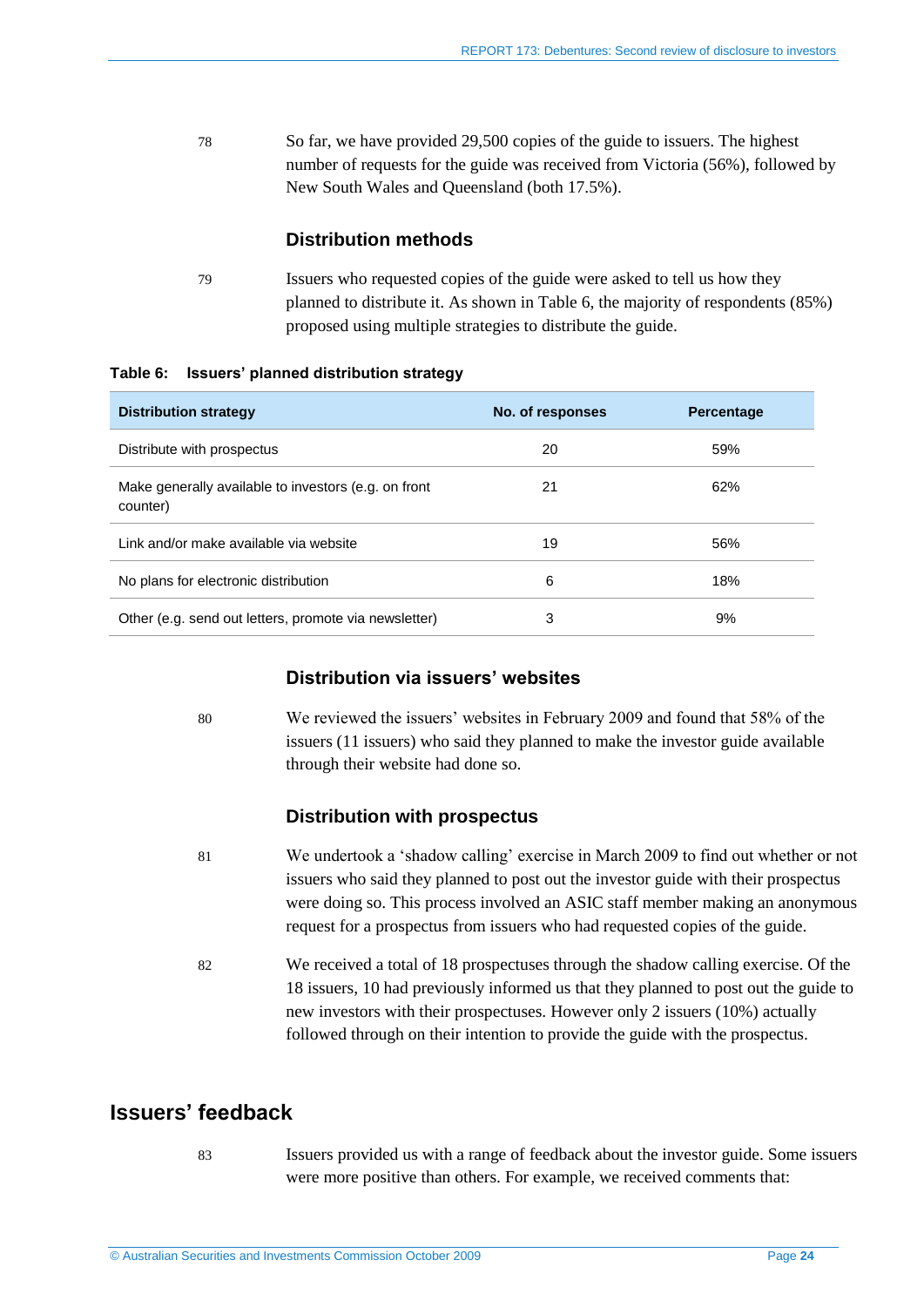78 So far, we have provided 29,500 copies of the guide to issuers. The highest number of requests for the guide was received from Victoria (56%), followed by New South Wales and Queensland (both 17.5%).

### **Distribution methods**

79 Issuers who requested copies of the guide were asked to tell us how they planned to distribute it. As shown in [Table 6,](#page-23-1) the majority of respondents (85%) proposed using multiple strategies to distribute the guide.

#### <span id="page-23-1"></span>**Table 6: Issuers' planned distribution strategy**

| <b>Distribution strategy</b>                                     | No. of responses | <b>Percentage</b> |
|------------------------------------------------------------------|------------------|-------------------|
| Distribute with prospectus                                       | 20               | 59%               |
| Make generally available to investors (e.g. on front<br>counter) | 21               | 62%               |
| Link and/or make available via website                           | 19               | 56%               |
| No plans for electronic distribution                             | 6                | 18%               |
| Other (e.g. send out letters, promote via newsletter)            | 3                | 9%                |

### **Distribution via issuers' websites**

80 We reviewed the issuers' websites in February 2009 and found that 58% of the issuers (11 issuers) who said they planned to make the investor guide available through their website had done so.

### **Distribution with prospectus**

- 81 We undertook a 'shadow calling' exercise in March 2009 to find out whether or not issuers who said they planned to post out the investor guide with their prospectus were doing so. This process involved an ASIC staff member making an anonymous request for a prospectus from issuers who had requested copies of the guide.
- 82 We received a total of 18 prospectuses through the shadow calling exercise. Of the 18 issuers, 10 had previously informed us that they planned to post out the guide to new investors with their prospectuses. However only 2 issuers (10%) actually followed through on their intention to provide the guide with the prospectus.

# <span id="page-23-0"></span>**Issuers' feedback**

83 Issuers provided us with a range of feedback about the investor guide. Some issuers were more positive than others. For example, we received comments that: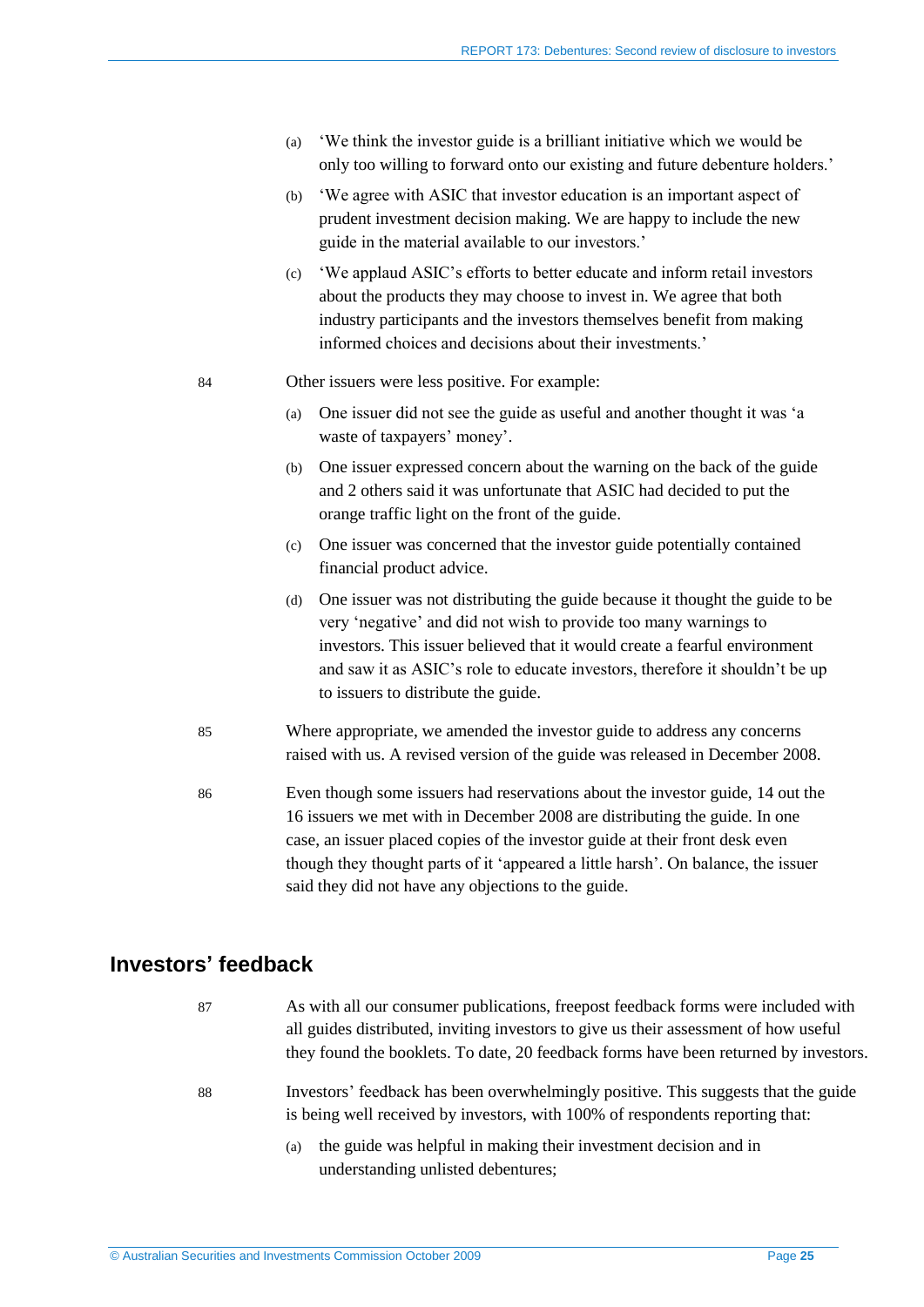- (a) 'We think the investor guide is a brilliant initiative which we would be only too willing to forward onto our existing and future debenture holders.'
- (b) 'We agree with ASIC that investor education is an important aspect of prudent investment decision making. We are happy to include the new guide in the material available to our investors.'
- (c) 'We applaud ASIC's efforts to better educate and inform retail investors about the products they may choose to invest in. We agree that both industry participants and the investors themselves benefit from making informed choices and decisions about their investments.'
- 84 Other issuers were less positive. For example:
	- (a) One issuer did not see the guide as useful and another thought it was 'a waste of taxpayers' money'.
	- (b) One issuer expressed concern about the warning on the back of the guide and 2 others said it was unfortunate that ASIC had decided to put the orange traffic light on the front of the guide.
	- (c) One issuer was concerned that the investor guide potentially contained financial product advice.
	- (d) One issuer was not distributing the guide because it thought the guide to be very 'negative' and did not wish to provide too many warnings to investors. This issuer believed that it would create a fearful environment and saw it as ASIC's role to educate investors, therefore it shouldn't be up to issuers to distribute the guide.
- 85 Where appropriate, we amended the investor guide to address any concerns raised with us. A revised version of the guide was released in December 2008.
- 86 Even though some issuers had reservations about the investor guide, 14 out the 16 issuers we met with in December 2008 are distributing the guide. In one case, an issuer placed copies of the investor guide at their front desk even though they thought parts of it 'appeared a little harsh'. On balance, the issuer said they did not have any objections to the guide.

## <span id="page-24-0"></span>**Investors' feedback**

- 87 As with all our consumer publications, freepost feedback forms were included with all guides distributed, inviting investors to give us their assessment of how useful they found the booklets. To date, 20 feedback forms have been returned by investors.
- 88 Investors' feedback has been overwhelmingly positive. This suggests that the guide is being well received by investors, with 100% of respondents reporting that:
	- (a) the guide was helpful in making their investment decision and in understanding unlisted debentures;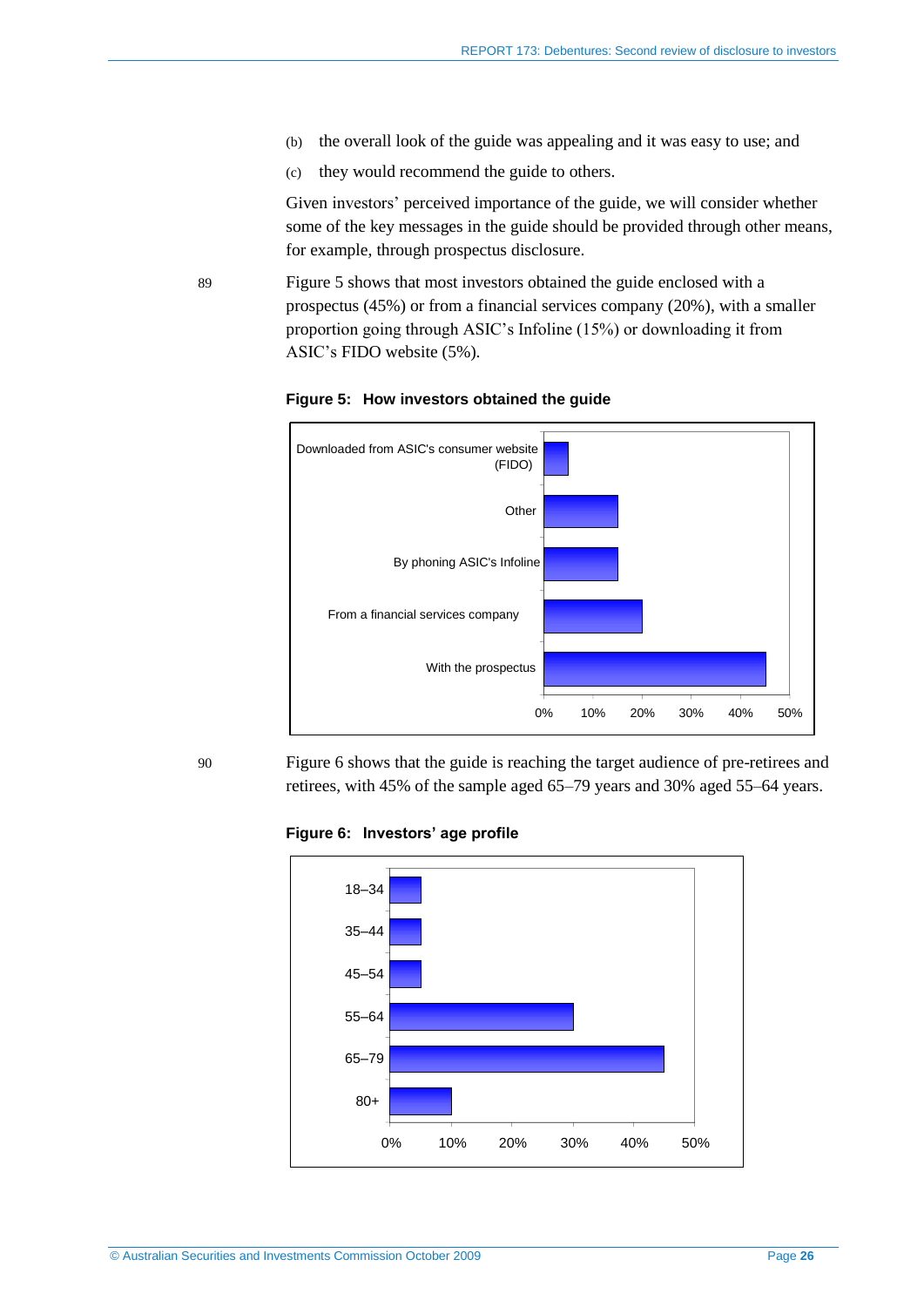- (b) the overall look of the guide was appealing and it was easy to use; and
- (c) they would recommend the guide to others.

Given investors' perceived importance of the guide, we will consider whether some of the key messages in the guide should be provided through other means, for example, through prospectus disclosure.

<span id="page-25-0"></span>89 [Figure 5](#page-25-0) shows that most investors obtained the guide enclosed with a prospectus (45%) or from a financial services company (20%), with a smaller proportion going through ASIC's Infoline (15%) or downloading it from ASIC's FIDO website (5%).





<span id="page-25-1"></span>90 [Figure 6](#page-25-1) shows that the guide is reaching the target audience of pre-retirees and retirees, with 45% of the sample aged 65–79 years and 30% aged 55–64 years.

**Figure 6: Investors' age profile**

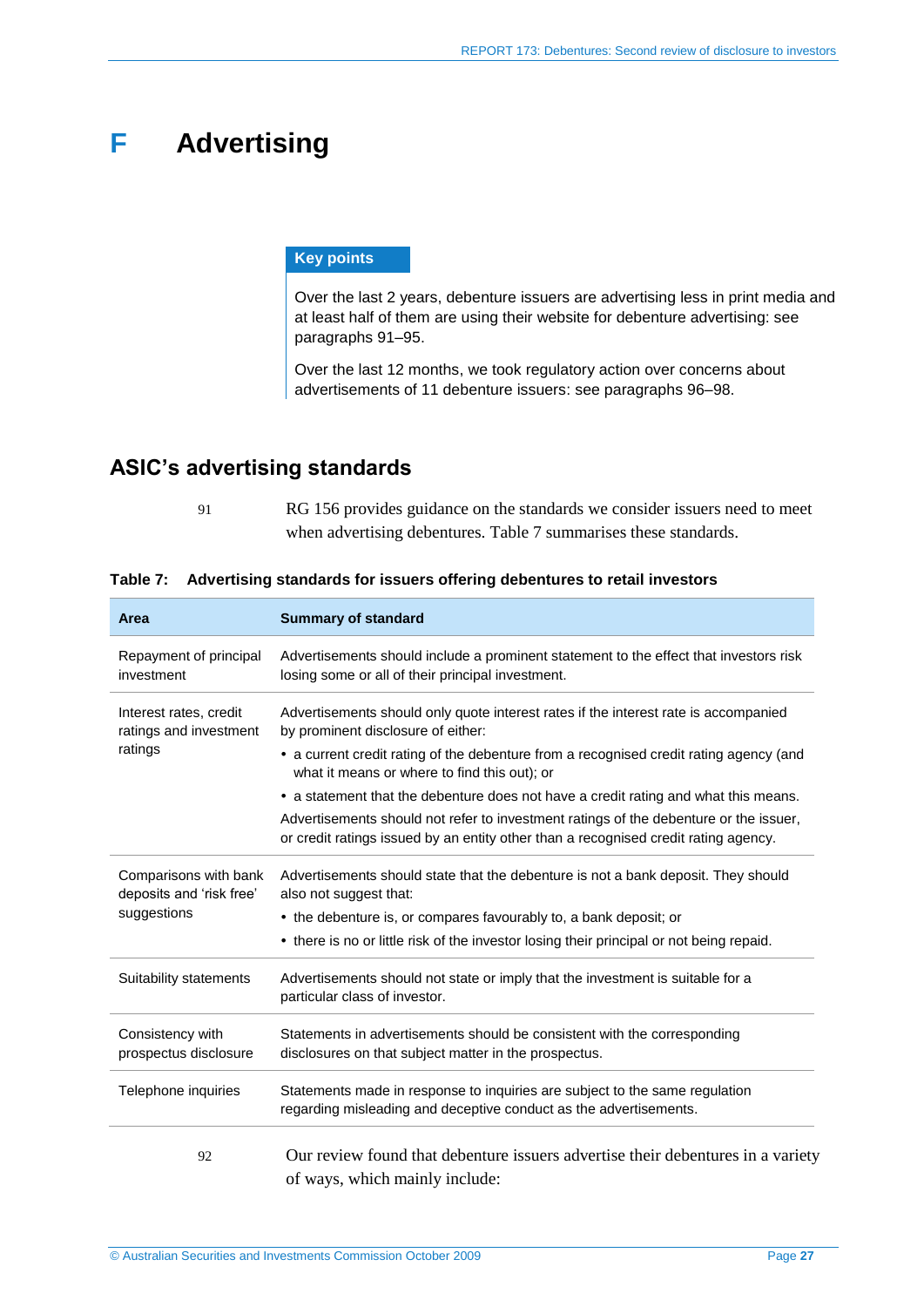# <span id="page-26-0"></span>**F Advertising**

### **Key points**

Over the last 2 years, debenture issuers are advertising less in print media and at least half of them are using their website for debenture advertising: see paragraphs [91–](#page-26-2)[95.](#page-27-1)

Over the last 12 months, we took regulatory action over concerns about advertisements of 11 debenture issuers: see paragraphs [96](#page-27-2)[–98.](#page-28-0)

# <span id="page-26-2"></span><span id="page-26-1"></span>**ASIC's advertising standards**

91 RG 156 provides guidance on the standards we consider issuers need to meet when advertising debentures. [Table 7](#page-26-3) summarises these standards.

| Area                                              | <b>Summary of standard</b>                                                                                                                                                   |
|---------------------------------------------------|------------------------------------------------------------------------------------------------------------------------------------------------------------------------------|
| Repayment of principal<br>investment              | Advertisements should include a prominent statement to the effect that investors risk<br>losing some or all of their principal investment.                                   |
| Interest rates, credit<br>ratings and investment  | Advertisements should only quote interest rates if the interest rate is accompanied<br>by prominent disclosure of either:                                                    |
| ratings                                           | • a current credit rating of the debenture from a recognised credit rating agency (and<br>what it means or where to find this out); or                                       |
|                                                   | • a statement that the debenture does not have a credit rating and what this means.                                                                                          |
|                                                   | Advertisements should not refer to investment ratings of the debenture or the issuer,<br>or credit ratings issued by an entity other than a recognised credit rating agency. |
| Comparisons with bank<br>deposits and 'risk free' | Advertisements should state that the debenture is not a bank deposit. They should<br>also not suggest that:                                                                  |
| suggestions                                       | • the debenture is, or compares favourably to, a bank deposit; or                                                                                                            |
|                                                   | • there is no or little risk of the investor losing their principal or not being repaid.                                                                                     |
| Suitability statements                            | Advertisements should not state or imply that the investment is suitable for a<br>particular class of investor.                                                              |
| Consistency with<br>prospectus disclosure         | Statements in advertisements should be consistent with the corresponding<br>disclosures on that subject matter in the prospectus.                                            |
| Telephone inquiries                               | Statements made in response to inquiries are subject to the same regulation<br>regarding misleading and deceptive conduct as the advertisements.                             |
| 92                                                | Our review found that debenture issuers advertise their debentures in a variety<br>of ways, which mainly include:                                                            |

### <span id="page-26-3"></span>**Table 7: Advertising standards for issuers offering debentures to retail investors**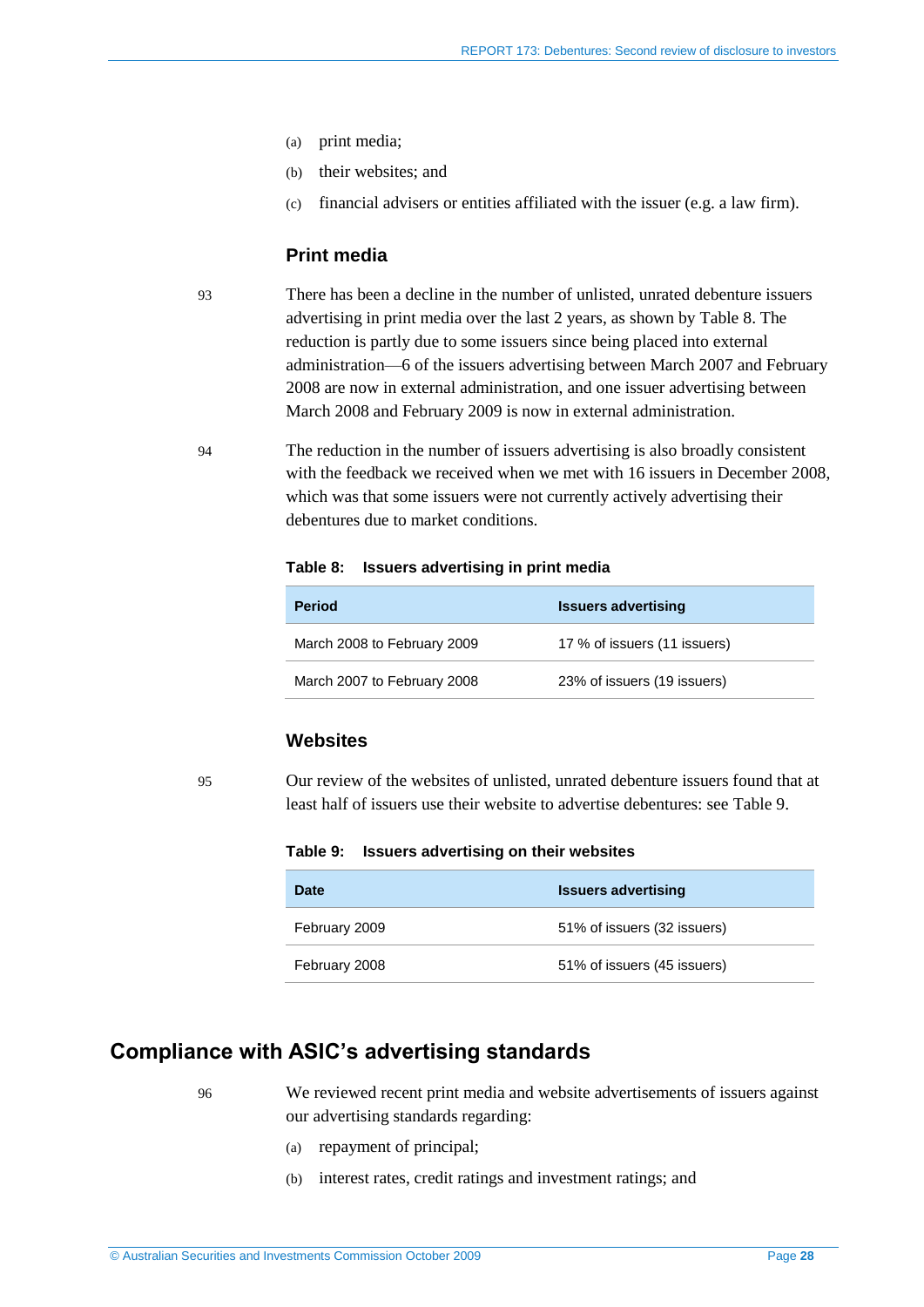- (a) print media;
- (b) their websites; and
- (c) financial advisers or entities affiliated with the issuer (e.g. a law firm).

### **Print media**

93 There has been a decline in the number of unlisted, unrated debenture issuers advertising in print media over the last 2 years, as shown by [Table 8.](#page-27-3) The reduction is partly due to some issuers since being placed into external administration—6 of the issuers advertising between March 2007 and February 2008 are now in external administration, and one issuer advertising between March 2008 and February 2009 is now in external administration.

<span id="page-27-3"></span>94 The reduction in the number of issuers advertising is also broadly consistent with the feedback we received when we met with 16 issuers in December 2008, which was that some issuers were not currently actively advertising their debentures due to market conditions.

#### **Table 8: Issuers advertising in print media**

| <b>Period</b>               | <b>Issuers advertising</b>   |
|-----------------------------|------------------------------|
| March 2008 to February 2009 | 17 % of issuers (11 issuers) |
| March 2007 to February 2008 | 23% of issuers (19 issuers)  |

## **Websites**

<span id="page-27-4"></span><span id="page-27-1"></span>95 Our review of the websites of unlisted, unrated debenture issuers found that at least half of issuers use their website to advertise debentures: see [Table 9.](#page-27-4)

**Table 9: Issuers advertising on their websites**

| <b>Date</b>   | <b>Issuers advertising</b>  |
|---------------|-----------------------------|
| February 2009 | 51% of issuers (32 issuers) |
| February 2008 | 51% of issuers (45 issuers) |

## <span id="page-27-2"></span><span id="page-27-0"></span>**Compliance with ASIC's advertising standards**

96 We reviewed recent print media and website advertisements of issuers against our advertising standards regarding:

- (a) repayment of principal;
- (b) interest rates, credit ratings and investment ratings; and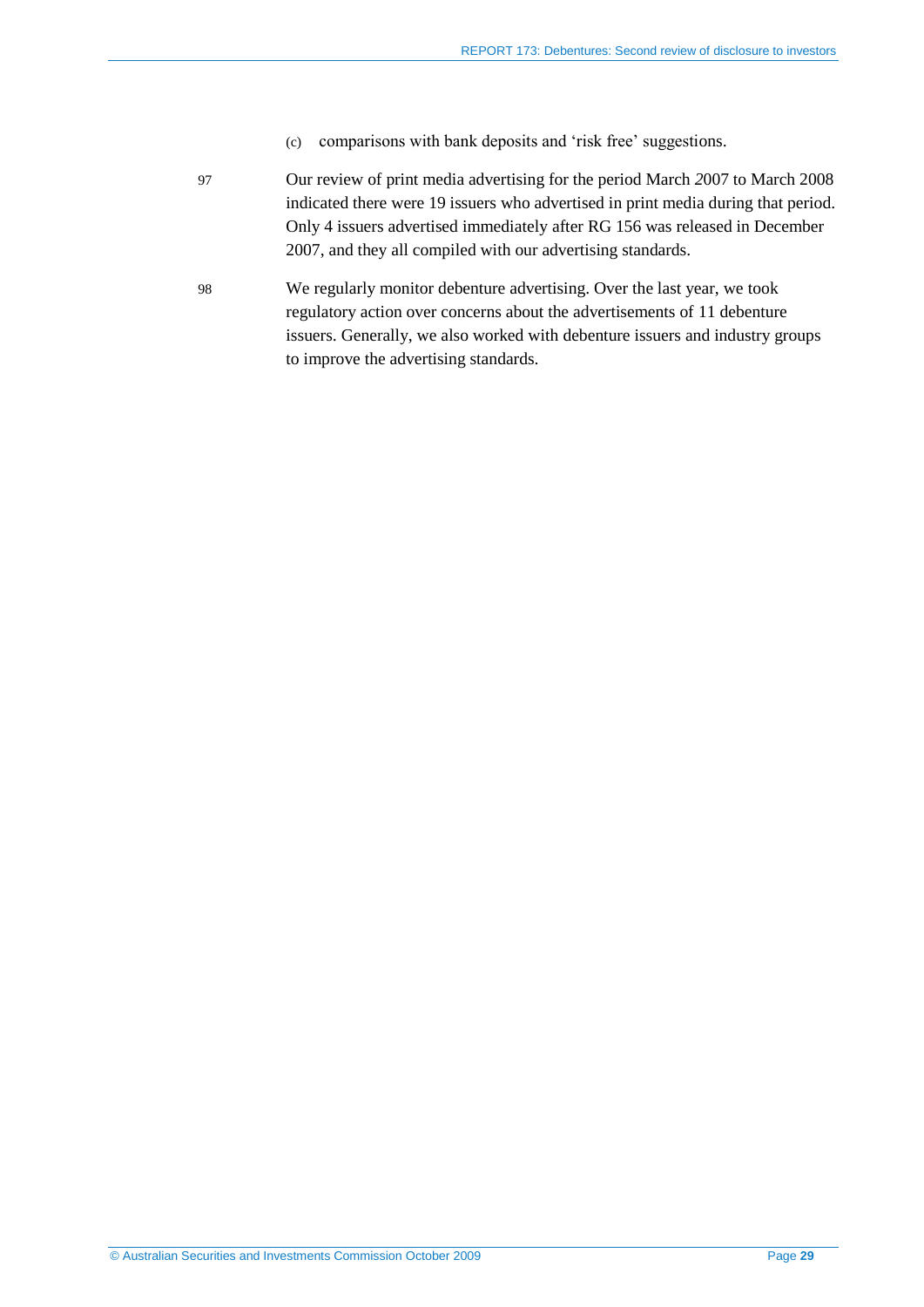- (c) comparisons with bank deposits and 'risk free' suggestions.
- 97 Our review of print media advertising for the period March *2*007 to March 2008 indicated there were 19 issuers who advertised in print media during that period. Only 4 issuers advertised immediately after RG 156 was released in December 2007, and they all compiled with our advertising standards.
- <span id="page-28-0"></span>98 We regularly monitor debenture advertising. Over the last year, we took regulatory action over concerns about the advertisements of 11 debenture issuers. Generally, we also worked with debenture issuers and industry groups to improve the advertising standards.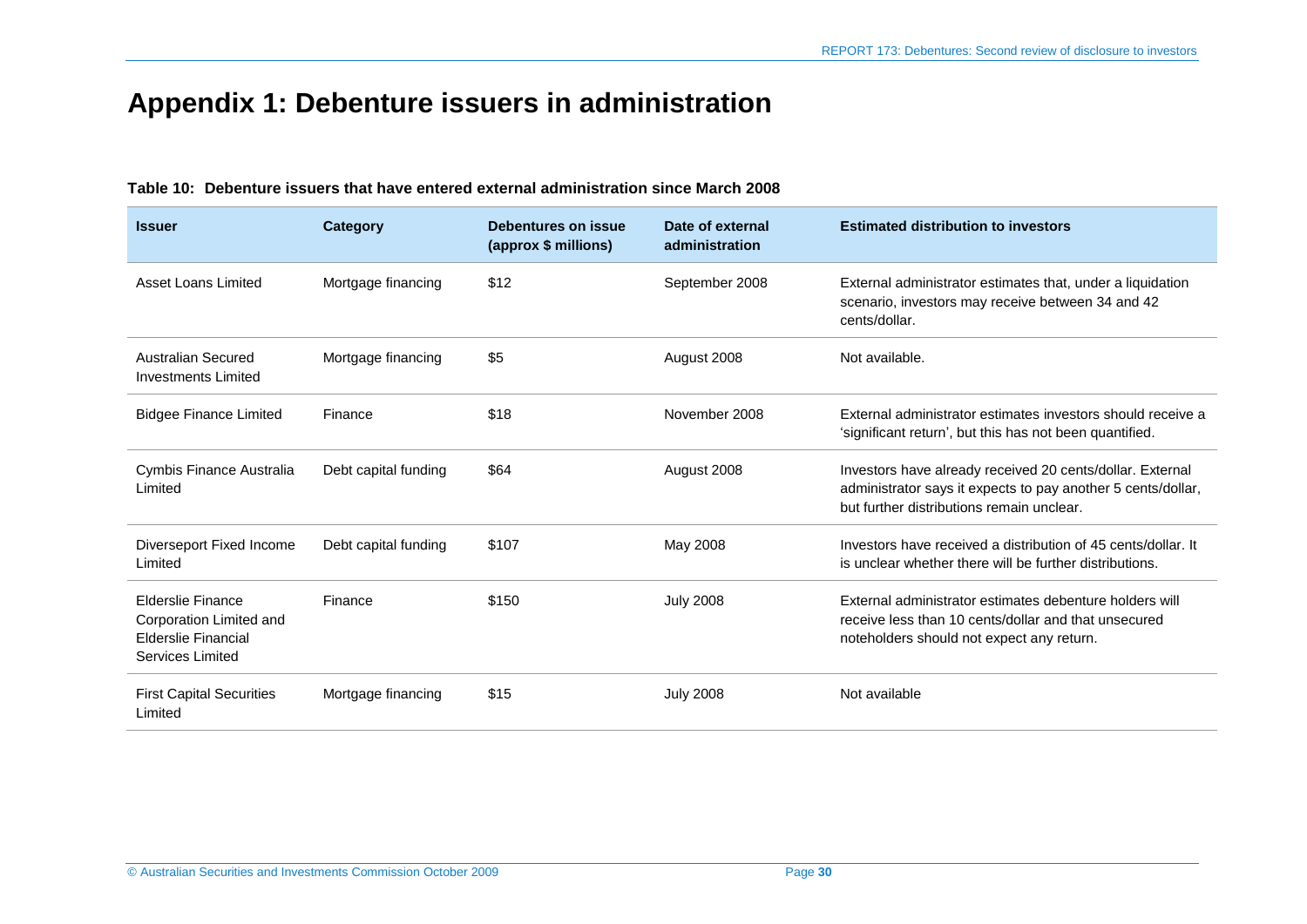# **Appendix 1: Debenture issuers in administration**

#### <span id="page-29-0"></span>**Issuer Category Debentures on issue (approx \$ millions) Date of external administration Estimated distribution to investors** Asset Loans Limited Mortgage financing \$12 September 2008 External administrator estimates that, under a liquidation scenario, investors may receive between 34 and 42 cents/dollar. Australian Secured Investments Limited Mortgage financing  $$5$   $$5$  August 2008 Not available. Bidgee Finance Limited Finance **Finance** \$18 State Rimates investors should receive a 'significant return', but this has not been quantified. Cymbis Finance Australia Limited Debt capital funding  $$64$  August 2008 Investors have already received 20 cents/dollar. External administrator says it expects to pay another 5 cents/dollar, but further distributions remain unclear. Diverseport Fixed Income Limited Debt capital funding \$107 May 2008 Investors have received a distribution of 45 cents/dollar. It is unclear whether there will be further distributions. Elderslie Finance Corporation Limited and Elderslie Financial Services Limited Finance \$150 July 2008 External administrator estimates debenture holders will receive less than 10 cents/dollar and that unsecured noteholders should not expect any return. First Capital Securities Limited Mortgage financing  $$15$  July 2008 Not available

#### **Table 10: Debenture issuers that have entered external administration since March 2008**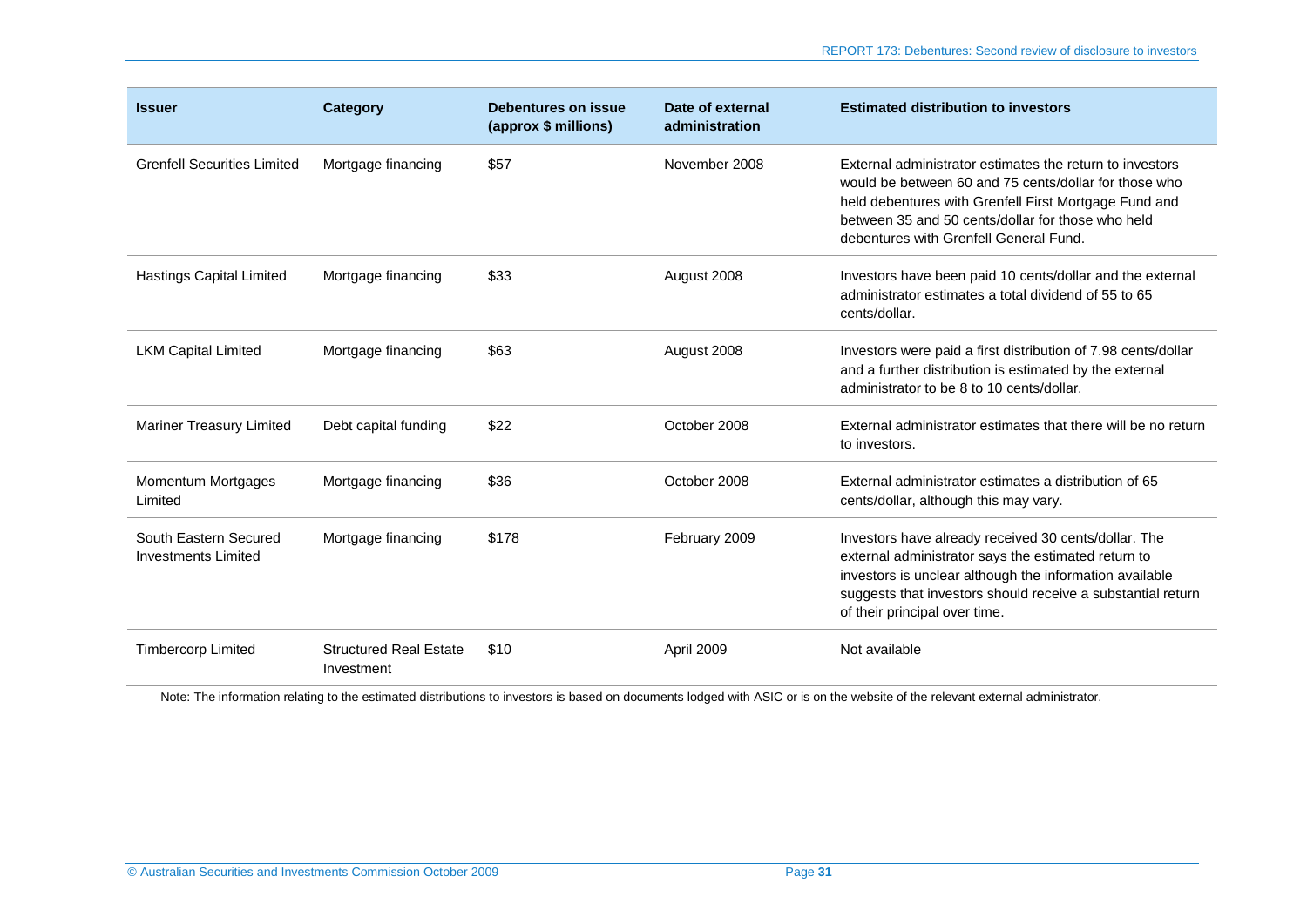| <b>Issuer</b>                                       | Category                                    | Debentures on issue<br>(approx \$ millions) | Date of external<br>administration | <b>Estimated distribution to investors</b>                                                                                                                                                                                                                                |
|-----------------------------------------------------|---------------------------------------------|---------------------------------------------|------------------------------------|---------------------------------------------------------------------------------------------------------------------------------------------------------------------------------------------------------------------------------------------------------------------------|
| <b>Grenfell Securities Limited</b>                  | Mortgage financing                          | \$57                                        | November 2008                      | External administrator estimates the return to investors<br>would be between 60 and 75 cents/dollar for those who<br>held debentures with Grenfell First Mortgage Fund and<br>between 35 and 50 cents/dollar for those who held<br>debentures with Grenfell General Fund. |
| <b>Hastings Capital Limited</b>                     | Mortgage financing                          | \$33                                        | August 2008                        | Investors have been paid 10 cents/dollar and the external<br>administrator estimates a total dividend of 55 to 65<br>cents/dollar.                                                                                                                                        |
| <b>LKM Capital Limited</b>                          | Mortgage financing                          | \$63                                        | August 2008                        | Investors were paid a first distribution of 7.98 cents/dollar<br>and a further distribution is estimated by the external<br>administrator to be 8 to 10 cents/dollar.                                                                                                     |
| <b>Mariner Treasury Limited</b>                     | Debt capital funding                        | \$22                                        | October 2008                       | External administrator estimates that there will be no return<br>to investors.                                                                                                                                                                                            |
| Momentum Mortgages<br>Limited                       | Mortgage financing                          | \$36                                        | October 2008                       | External administrator estimates a distribution of 65<br>cents/dollar, although this may vary.                                                                                                                                                                            |
| South Eastern Secured<br><b>Investments Limited</b> | Mortgage financing                          | \$178                                       | February 2009                      | Investors have already received 30 cents/dollar. The<br>external administrator says the estimated return to<br>investors is unclear although the information available<br>suggests that investors should receive a substantial return<br>of their principal over time.    |
| <b>Timbercorp Limited</b>                           | <b>Structured Real Estate</b><br>Investment | \$10                                        | April 2009                         | Not available                                                                                                                                                                                                                                                             |

Note: The information relating to the estimated distributions to investors is based on documents lodged with ASIC or is on the website of the relevant external administrator.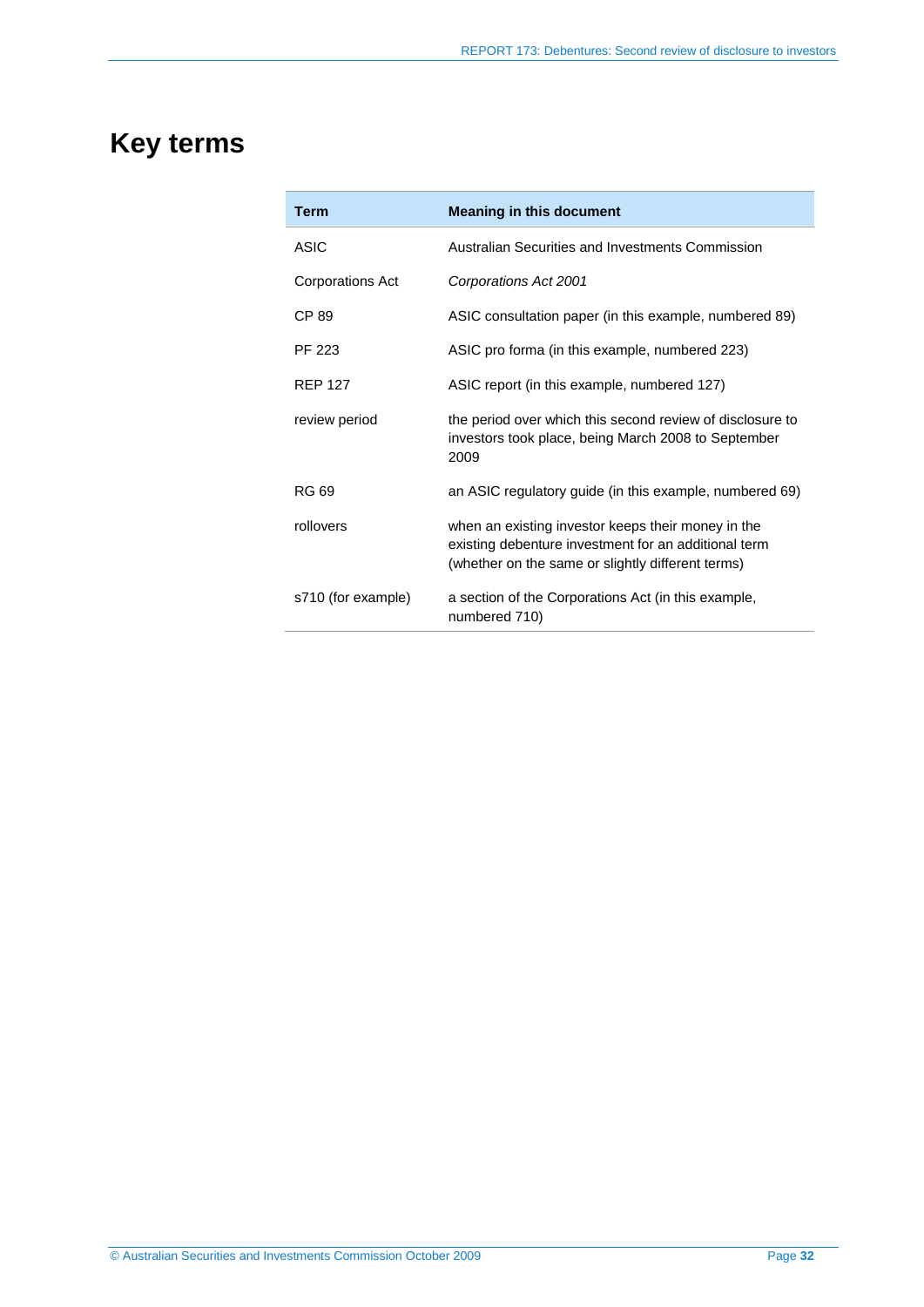# <span id="page-31-0"></span>**Key terms**

| <b>Term</b>        | <b>Meaning in this document</b>                                                                                                                                 |  |  |
|--------------------|-----------------------------------------------------------------------------------------------------------------------------------------------------------------|--|--|
| ASIC               | Australian Securities and Investments Commission                                                                                                                |  |  |
| Corporations Act   | Corporations Act 2001                                                                                                                                           |  |  |
| CP 89              | ASIC consultation paper (in this example, numbered 89)                                                                                                          |  |  |
| PF 223             | ASIC pro forma (in this example, numbered 223)                                                                                                                  |  |  |
| <b>RFP 127</b>     | ASIC report (in this example, numbered 127)                                                                                                                     |  |  |
| review period      | the period over which this second review of disclosure to<br>investors took place, being March 2008 to September<br>2009                                        |  |  |
| RG 69              | an ASIC regulatory guide (in this example, numbered 69)                                                                                                         |  |  |
| rollovers          | when an existing investor keeps their money in the<br>existing debenture investment for an additional term<br>(whether on the same or slightly different terms) |  |  |
| s710 (for example) | a section of the Corporations Act (in this example,<br>numbered 710)                                                                                            |  |  |